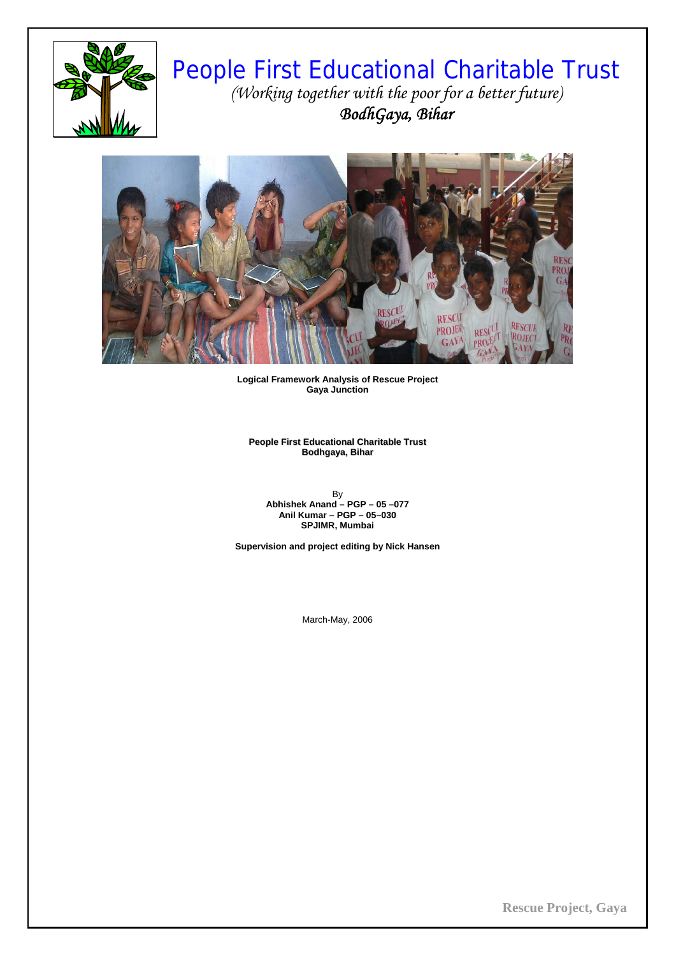

# People First Educational Charitable Trust *(Working together with the poor for a better future) BodhGaya, Bihar*



**Logical Framework Analysis of Rescue Project Gaya Junction** 

**People First Educational Charitable Trust Bodhgaya, Bihar**

By **Abhishek Anand – PGP – 05 –077 Anil Kumar – PGP – 05–030 SPJIMR, Mumbai** 

**Supervision and project editing by Nick Hansen** 

March-May, 2006

**Rescue Project, Gaya**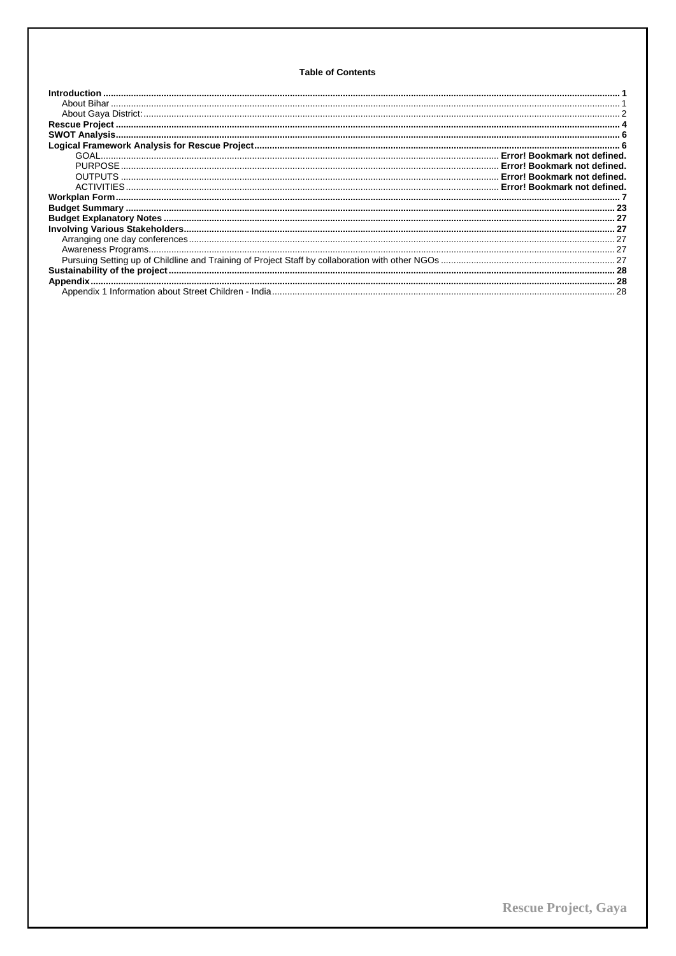# **Table of Contents**

| Introduction |
|--------------|
|              |
|              |
|              |
|              |
|              |
|              |
|              |
|              |
|              |
|              |
|              |
|              |
|              |
|              |
|              |
|              |
|              |
|              |
|              |
|              |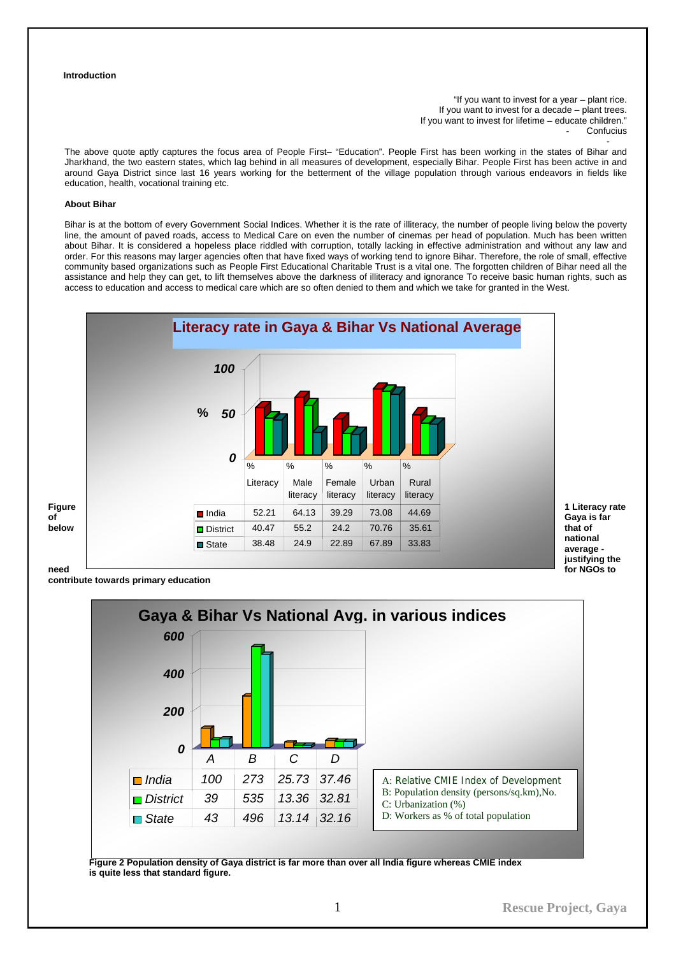## <span id="page-2-0"></span>**Introduction**

"If you want to invest for a year – plant rice. If you want to invest for a decade – plant trees. If you want to invest for lifetime – educate children." **Confucius** -

The above quote aptly captures the focus area of People First– "Education". People First has been working in the states of Bihar and Jharkhand, the two eastern states, which lag behind in all measures of development, especially Bihar. People First has been active in and around Gaya District since last 16 years working for the betterment of the village population through various endeavors in fields like education, health, vocational training etc.

# **About Bihar**

Bihar is at the bottom of every Government Social Indices. Whether it is the rate of illiteracy, the number of people living below the poverty line, the amount of paved roads, access to Medical Care on even the number of cinemas per head of population. Much has been written about Bihar. It is considered a hopeless place riddled with corruption, totally lacking in effective administration and without any law and order. For this reasons may larger agencies often that have fixed ways of working tend to ignore Bihar. Therefore, the role of small, effective community based organizations such as People First Educational Charitable Trust is a vital one. The forgotten children of Bihar need all the assistance and help they can get, to lift themselves above the darkness of illiteracy and ignorance To receive basic human rights, such as access to education and access to medical care which are so often denied to them and which we take for granted in the West.



**contribute towards primary education** 



**Figure 2 Population density of Gaya district is far more than over all India figure whereas CMIE index is quite less that standard figure.**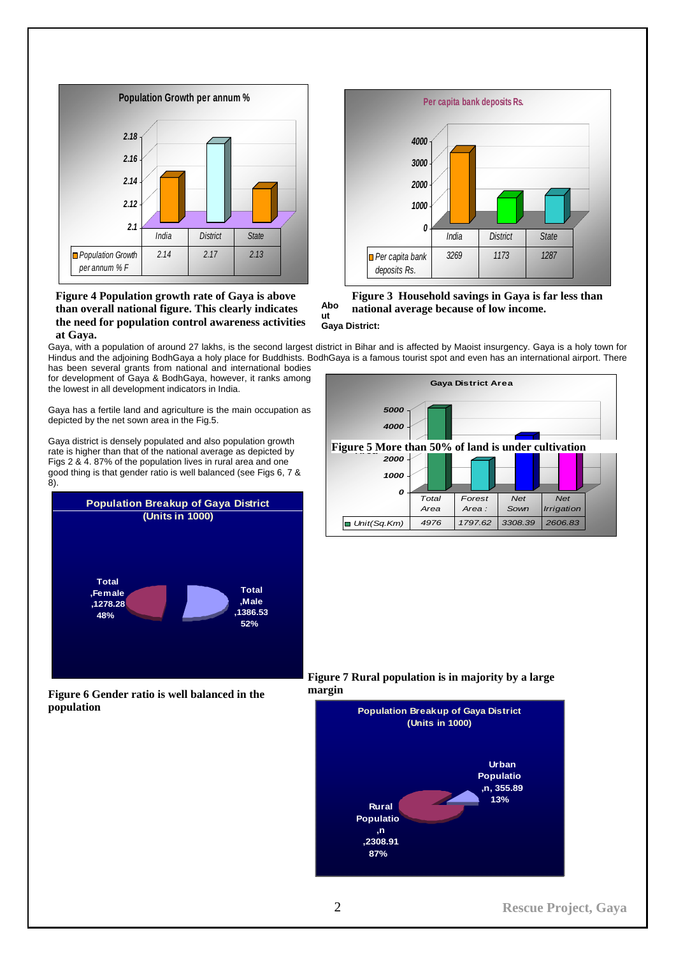<span id="page-3-0"></span>

# **Figure 4 Population growth rate of Gaya is above than overall national figure. This clearly indicates the need for population control awareness activities at Gaya.**



**Abo Figure 3 Household savings in Gaya is far less than national average because of low income.** 

# **ut Gaya District:**

Gaya, with a population of around 27 lakhs, is the second largest district in Bihar and is affected by Maoist insurgency. Gaya is a holy town for Hindus and the adjoining BodhGaya a holy place for Buddhists. BodhGaya is a famous tourist spot and even has an international airport. There

has been several grants from national and international bodies for development of Gaya & BodhGaya, however, it ranks among the lowest in all development indicators in India.

Gaya has a fertile land and agriculture is the main occupation as depicted by the net sown area in the Fig.5.

8). Gaya district is densely populated and also population growth rate is higher than that of the national average as depicted by Figs 2 & 4. 87% of the population lives in rural area and one good thing is that gender ratio is well balanced (see Figs 6, 7 &







**Figure 7 Rural population is in majority by a large margin** 

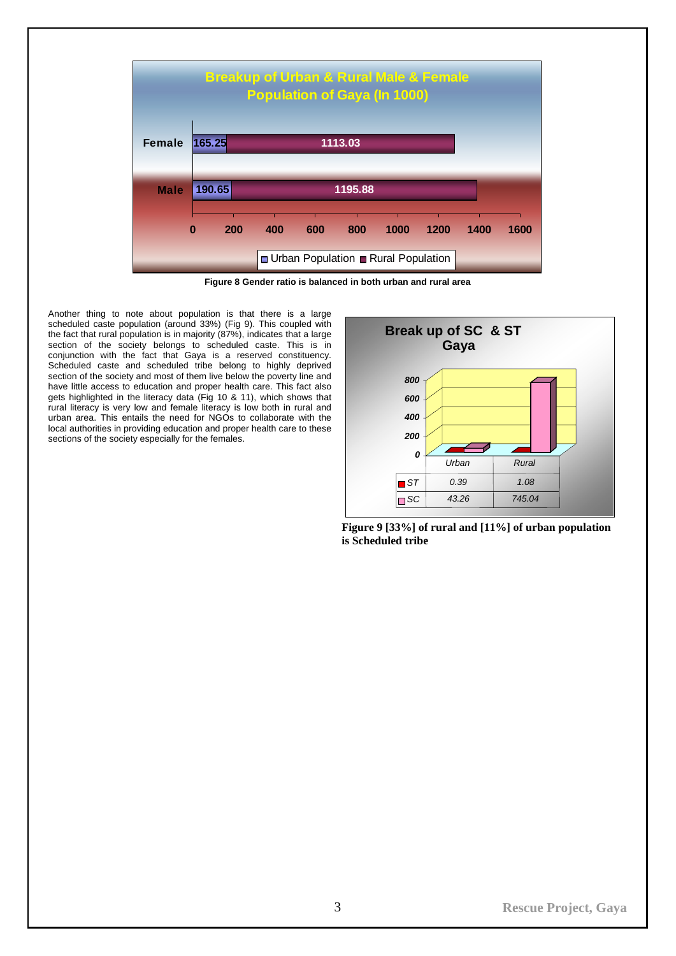

**Figure 8 Gender ratio is balanced in both urban and rural area** 

Another thing to note about population is that there is a large scheduled caste population (around 33%) (Fig 9). This coupled with the fact that rural population is in majority (87%), indicates that a large section of the society belongs to scheduled caste. This is in conjunction with the fact that Gaya is a reserved constituency. Scheduled caste and scheduled tribe belong to highly deprived section of the society and most of them live below the poverty line and have little access to education and proper health care. This fact also gets highlighted in the literacy data (Fig 10 & 11), which shows that rural literacy is very low and female literacy is low both in rural and urban area. This entails the need for NGOs to collaborate with the local authorities in providing education and proper health care to these sections of the society especially for the females.



**Figure 9 [33%] of rural and [11%] of urban population is Scheduled tribe**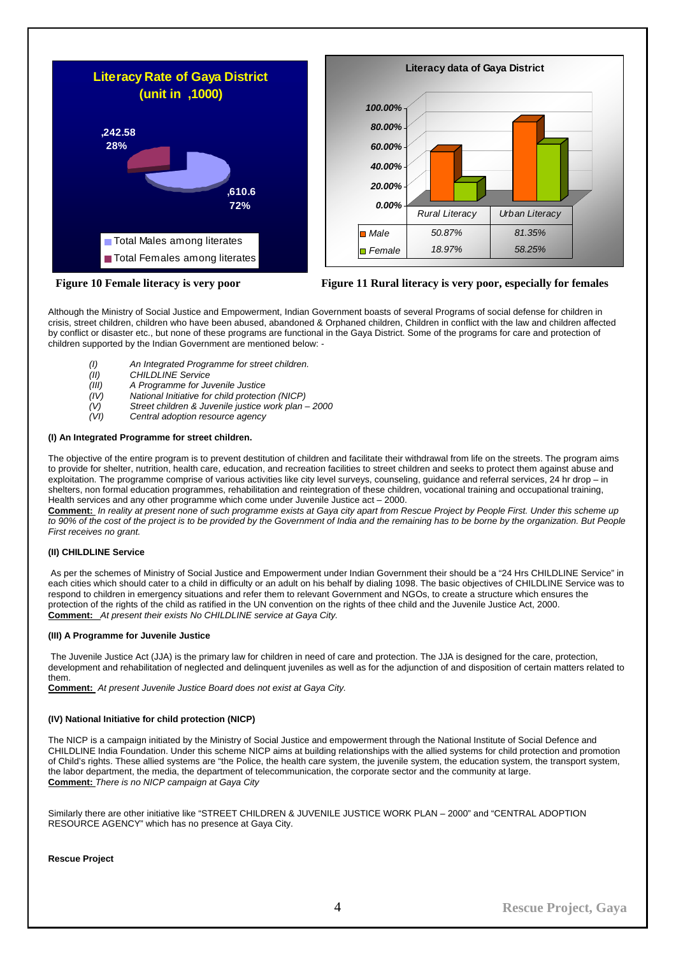<span id="page-5-0"></span>





Although the Ministry of Social Justice and Empowerment, Indian Government boasts of several Programs of social defense for children in crisis, street children, children who have been abused, abandoned & Orphaned children, Children in conflict with the law and children affected by conflict or disaster etc., but none of these programs are functional in the Gaya District. Some of the programs for care and protection of children supported by the Indian Government are mentioned below: -

- *(I) An Integrated Programme for street children.*
- 
- *(II) CHILDLINE Service (III) A Programme for Juvenile Justice*
- *(IV) National Initiative for child protection (NICP)*
- *(V) Street children & Juvenile justice work plan 2000*
- *(VI) Central adoption resource agency*

## **(I) An Integrated Programme for street children.**

The objective of the entire program is to prevent destitution of children and facilitate their withdrawal from life on the streets. The program aims to provide for shelter, nutrition, health care, education, and recreation facilities to street children and seeks to protect them against abuse and exploitation. The programme comprise of various activities like city level surveys, counseling, guidance and referral services, 24 hr drop – in shelters, non formal education programmes, rehabilitation and reintegration of these children, vocational training and occupational training, Health services and any other programme which come under Juvenile Justice act – 2000.

**Comment:** *In reality at present none of such programme exists at Gaya city apart from Rescue Project by People First. Under this scheme up to 90% of the cost of the project is to be provided by the Government of India and the remaining has to be borne by the organization. But People First receives no grant.* 

# **(II) CHILDLINE Service**

 As per the schemes of Ministry of Social Justice and Empowerment under Indian Government their should be a "24 Hrs CHILDLINE Service" in each cities which should cater to a child in difficulty or an adult on his behalf by dialing 1098. The basic objectives of CHILDLINE Service was to respond to children in emergency situations and refer them to relevant Government and NGOs, to create a structure which ensures the protection of the rights of the child as ratified in the UN convention on the rights of thee child and the Juvenile Justice Act, 2000. **Comment:** *At present their exists No CHILDLINE service at Gaya City.* 

#### **(III) A Programme for Juvenile Justice**

 The Juvenile Justice Act (JJA) is the primary law for children in need of care and protection. The JJA is designed for the care, protection, development and rehabilitation of neglected and delinquent juveniles as well as for the adjunction of and disposition of certain matters related to them.

**Comment:** *At present Juvenile Justice Board does not exist at Gaya City.* 

#### **(IV) National Initiative for child protection (NICP)**

The NICP is a campaign initiated by the Ministry of Social Justice and empowerment through the National Institute of Social Defence and CHILDLINE India Foundation. Under this scheme NICP aims at building relationships with the allied systems for child protection and promotion of Child's rights. These allied systems are "the Police, the health care system, the juvenile system, the education system, the transport system, the labor department, the media, the department of telecommunication, the corporate sector and the community at large. **Comment:** *There is no NICP campaign at Gaya City* 

Similarly there are other initiative like "STREET CHILDREN & JUVENILE JUSTICE WORK PLAN – 2000" and "CENTRAL ADOPTION RESOURCE AGENCY" which has no presence at Gaya City.

#### **Rescue Project**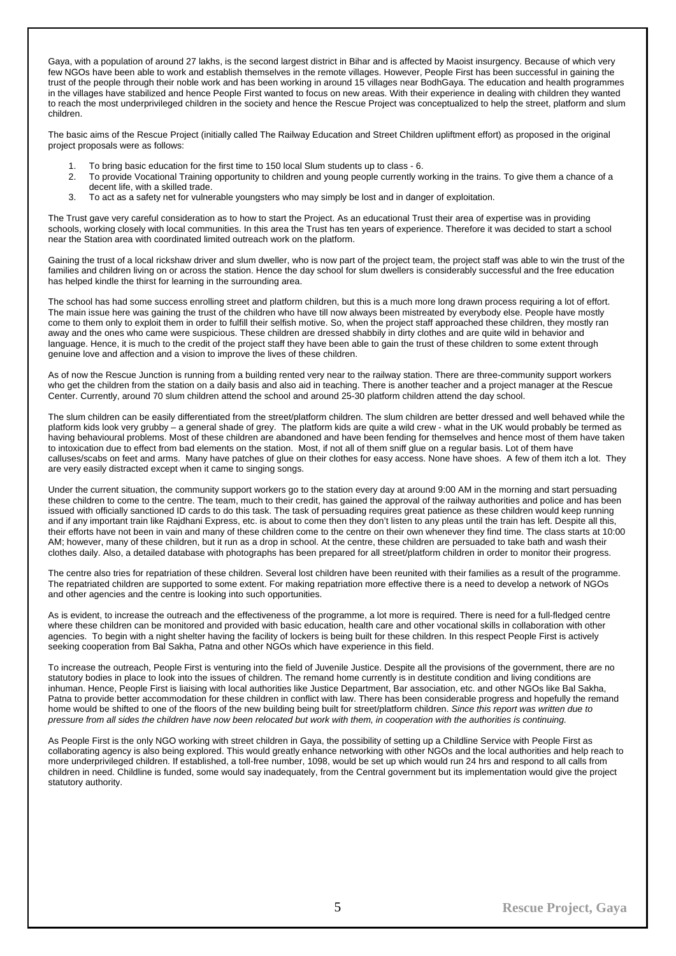Gaya, with a population of around 27 lakhs, is the second largest district in Bihar and is affected by Maoist insurgency. Because of which very few NGOs have been able to work and establish themselves in the remote villages. However, People First has been successful in gaining the trust of the people through their noble work and has been working in around 15 villages near BodhGaya. The education and health programmes in the villages have stabilized and hence People First wanted to focus on new areas. With their experience in dealing with children they wanted to reach the most underprivileged children in the society and hence the Rescue Project was conceptualized to help the street, platform and slum children.

The basic aims of the Rescue Project (initially called The Railway Education and Street Children upliftment effort) as proposed in the original project proposals were as follows:

- 1. To bring basic education for the first time to 150 local Slum students up to class 6.
- 2. To provide Vocational Training opportunity to children and young people currently working in the trains. To give them a chance of a decent life, with a skilled trade.
- 3. To act as a safety net for vulnerable youngsters who may simply be lost and in danger of exploitation.

The Trust gave very careful consideration as to how to start the Project. As an educational Trust their area of expertise was in providing schools, working closely with local communities. In this area the Trust has ten years of experience. Therefore it was decided to start a school near the Station area with coordinated limited outreach work on the platform.

Gaining the trust of a local rickshaw driver and slum dweller, who is now part of the project team, the project staff was able to win the trust of the families and children living on or across the station. Hence the day school for slum dwellers is considerably successful and the free education has helped kindle the thirst for learning in the surrounding area.

The school has had some success enrolling street and platform children, but this is a much more long drawn process requiring a lot of effort. The main issue here was gaining the trust of the children who have till now always been mistreated by everybody else. People have mostly come to them only to exploit them in order to fulfill their selfish motive. So, when the project staff approached these children, they mostly ran away and the ones who came were suspicious. These children are dressed shabbily in dirty clothes and are quite wild in behavior and language. Hence, it is much to the credit of the project staff they have been able to gain the trust of these children to some extent through genuine love and affection and a vision to improve the lives of these children.

As of now the Rescue Junction is running from a building rented very near to the railway station. There are three-community support workers who get the children from the station on a daily basis and also aid in teaching. There is another teacher and a project manager at the Rescue Center. Currently, around 70 slum children attend the school and around 25-30 platform children attend the day school.

The slum children can be easily differentiated from the street/platform children. The slum children are better dressed and well behaved while the platform kids look very grubby – a general shade of grey. The platform kids are quite a wild crew - what in the UK would probably be termed as having behavioural problems. Most of these children are abandoned and have been fending for themselves and hence most of them have taken to intoxication due to effect from bad elements on the station. Most, if not all of them sniff glue on a regular basis. Lot of them have calluses/scabs on feet and arms. Many have patches of glue on their clothes for easy access. None have shoes. A few of them itch a lot. They are very easily distracted except when it came to singing songs.

Under the current situation, the community support workers go to the station every day at around 9:00 AM in the morning and start persuading these children to come to the centre. The team, much to their credit, has gained the approval of the railway authorities and police and has been issued with officially sanctioned ID cards to do this task. The task of persuading requires great patience as these children would keep running and if any important train like Rajdhani Express, etc. is about to come then they don't listen to any pleas until the train has left. Despite all this, their efforts have not been in vain and many of these children come to the centre on their own whenever they find time. The class starts at 10:00 AM; however, many of these children, but it run as a drop in school. At the centre, these children are persuaded to take bath and wash their clothes daily. Also, a detailed database with photographs has been prepared for all street/platform children in order to monitor their progress.

The centre also tries for repatriation of these children. Several lost children have been reunited with their families as a result of the programme. The repatriated children are supported to some extent. For making repatriation more effective there is a need to develop a network of NGOs and other agencies and the centre is looking into such opportunities.

As is evident, to increase the outreach and the effectiveness of the programme, a lot more is required. There is need for a full-fledged centre where these children can be monitored and provided with basic education, health care and other vocational skills in collaboration with other agencies. To begin with a night shelter having the facility of lockers is being built for these children. In this respect People First is actively seeking cooperation from Bal Sakha, Patna and other NGOs which have experience in this field.

To increase the outreach, People First is venturing into the field of Juvenile Justice. Despite all the provisions of the government, there are no statutory bodies in place to look into the issues of children. The remand home currently is in destitute condition and living conditions are inhuman. Hence, People First is liaising with local authorities like Justice Department, Bar association, etc. and other NGOs like Bal Sakha, Patna to provide better accommodation for these children in conflict with law. There has been considerable progress and hopefully the remand home would be shifted to one of the floors of the new building being built for street/platform children. *Since this report was written due to pressure from all sides the children have now been relocated but work with them, in cooperation with the authorities is continuing.* 

As People First is the only NGO working with street children in Gaya, the possibility of setting up a Childline Service with People First as collaborating agency is also being explored. This would greatly enhance networking with other NGOs and the local authorities and help reach to more underprivileged children. If established, a toll-free number, 1098, would be set up which would run 24 hrs and respond to all calls from children in need. Childline is funded, some would say inadequately, from the Central government but its implementation would give the project statutory authority.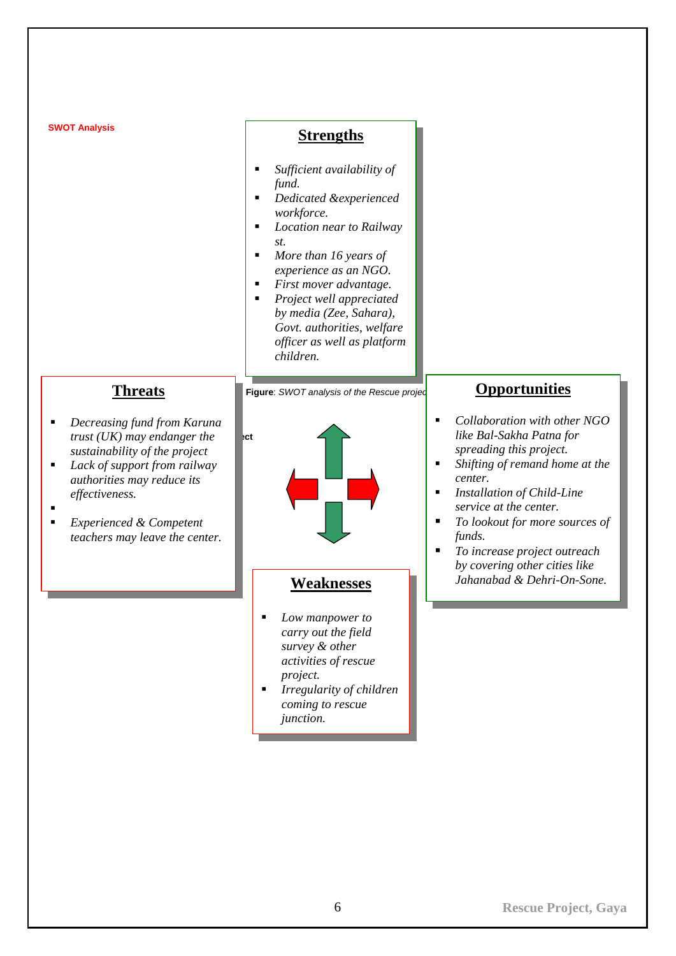<span id="page-7-0"></span>

| <b>SWOT Analysis</b>                                                                                                                                                                                                                                                                                                               | <b>Strengths</b>                                                                                                                                                                                                                                                                                                                                                               |                                                                                                                                                                                                                                                                                                                                                        |
|------------------------------------------------------------------------------------------------------------------------------------------------------------------------------------------------------------------------------------------------------------------------------------------------------------------------------------|--------------------------------------------------------------------------------------------------------------------------------------------------------------------------------------------------------------------------------------------------------------------------------------------------------------------------------------------------------------------------------|--------------------------------------------------------------------------------------------------------------------------------------------------------------------------------------------------------------------------------------------------------------------------------------------------------------------------------------------------------|
|                                                                                                                                                                                                                                                                                                                                    | Sufficient availability of<br>fund.<br>Dedicated &experienced<br>$\blacksquare$<br>workforce.<br>Location near to Railway<br>п<br>st.<br>More than 16 years of<br>п<br>experience as an NGO.<br>First mover advantage.<br>٠<br>Project well appreciated<br>$\blacksquare$<br>by media (Zee, Sahara),<br>Govt. authorities, welfare<br>officer as well as platform<br>children. |                                                                                                                                                                                                                                                                                                                                                        |
| <b>Threats</b><br>Decreasing fund from Karuna<br>$\blacksquare$<br>trust $(UK)$ may endanger the<br>sustainability of the project<br>Lack of support from railway<br>٠<br>authorities may reduce its<br>effectiveness.<br>$\blacksquare$<br><b>Experienced &amp; Competent</b><br>$\blacksquare$<br>teachers may leave the center. | Figure: SWOT analysis of the Rescue projed<br>l⊧ct                                                                                                                                                                                                                                                                                                                             | <b>Opportunities</b><br>Collaboration with other NGO<br>٠<br>like Bal-Sakha Patna for<br>spreading this project.<br>Shifting of remand home at the<br>٠<br>center.<br>Installation of Child-Line<br>٠<br>service at the center.<br>To lookout for more sources of<br>٠<br>funds.<br>To increase project outreach<br>٠<br>by covering other cities like |
|                                                                                                                                                                                                                                                                                                                                    | <b>Weaknesses</b><br>Low manpower to<br>$\blacksquare$<br>carry out the field<br>survey & other<br>activities of rescue<br>project.<br>Irregularity of children<br>٠<br>coming to rescue                                                                                                                                                                                       | Jahanabad & Dehri-On-Sone.                                                                                                                                                                                                                                                                                                                             |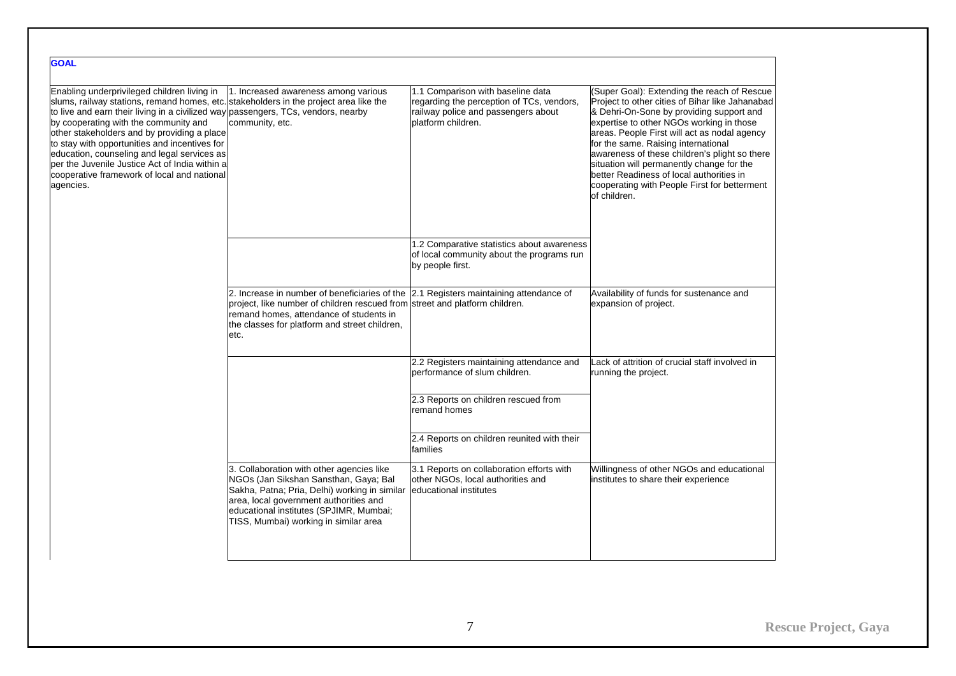| <b>GOAL</b>                                                                                                                                                                                                                                                                                                                                                                                                                                                                                                                     |                                                                                                                                                                                                                                                                          |                                                                                                                                             |                                                                                                                                                                                                                                                                                                                                                                                                                                                                                         |
|---------------------------------------------------------------------------------------------------------------------------------------------------------------------------------------------------------------------------------------------------------------------------------------------------------------------------------------------------------------------------------------------------------------------------------------------------------------------------------------------------------------------------------|--------------------------------------------------------------------------------------------------------------------------------------------------------------------------------------------------------------------------------------------------------------------------|---------------------------------------------------------------------------------------------------------------------------------------------|-----------------------------------------------------------------------------------------------------------------------------------------------------------------------------------------------------------------------------------------------------------------------------------------------------------------------------------------------------------------------------------------------------------------------------------------------------------------------------------------|
| Enabling underprivileged children living in<br>slums, railway stations, remand homes, etc. stakeholders in the project area like the<br>to live and earn their living in a civilized way passengers, TCs, vendors, nearby<br>by cooperating with the community and<br>other stakeholders and by providing a place<br>to stay with opportunities and incentives for<br>education, counseling and legal services as<br>per the Juvenile Justice Act of India within a<br>cooperative framework of local and national<br>agencies. | 1. Increased awareness among various<br>community, etc.                                                                                                                                                                                                                  | 1.1 Comparison with baseline data<br>regarding the perception of TCs, vendors,<br>railway police and passengers about<br>platform children. | (Super Goal): Extending the reach of Rescue<br>Project to other cities of Bihar like Jahanabad<br>& Dehri-On-Sone by providing support and<br>expertise to other NGOs working in those<br>areas. People First will act as nodal agency<br>for the same. Raising international<br>awareness of these children's plight so there<br>situation will permanently change for the<br>better Readiness of local authorities in<br>cooperating with People First for betterment<br>of children. |
|                                                                                                                                                                                                                                                                                                                                                                                                                                                                                                                                 |                                                                                                                                                                                                                                                                          | 1.2 Comparative statistics about awareness<br>of local community about the programs run<br>by people first.                                 |                                                                                                                                                                                                                                                                                                                                                                                                                                                                                         |
|                                                                                                                                                                                                                                                                                                                                                                                                                                                                                                                                 | 2. Increase in number of beneficiaries of the 2.1 Registers maintaining attendance of<br>project, like number of children rescued from street and platform children.<br>remand homes, attendance of students in<br>the classes for platform and street children,<br>etc. |                                                                                                                                             | Availability of funds for sustenance and<br>expansion of project.                                                                                                                                                                                                                                                                                                                                                                                                                       |
|                                                                                                                                                                                                                                                                                                                                                                                                                                                                                                                                 |                                                                                                                                                                                                                                                                          | 2.2 Registers maintaining attendance and<br>performance of slum children.                                                                   | Lack of attrition of crucial staff involved in<br>running the project.                                                                                                                                                                                                                                                                                                                                                                                                                  |
|                                                                                                                                                                                                                                                                                                                                                                                                                                                                                                                                 |                                                                                                                                                                                                                                                                          | 2.3 Reports on children rescued from<br>remand homes                                                                                        |                                                                                                                                                                                                                                                                                                                                                                                                                                                                                         |
|                                                                                                                                                                                                                                                                                                                                                                                                                                                                                                                                 |                                                                                                                                                                                                                                                                          | 2.4 Reports on children reunited with their<br>families                                                                                     |                                                                                                                                                                                                                                                                                                                                                                                                                                                                                         |
|                                                                                                                                                                                                                                                                                                                                                                                                                                                                                                                                 | 3. Collaboration with other agencies like<br>NGOs (Jan Sikshan Sansthan, Gaya; Bal<br>Sakha, Patna; Pria, Delhi) working in similar<br>area, local government authorities and<br>educational institutes (SPJIMR, Mumbai;<br>TISS, Mumbai) working in similar area        | 3.1 Reports on collaboration efforts with<br>other NGOs, local authorities and<br>educational institutes                                    | Willingness of other NGOs and educational<br>institutes to share their experience                                                                                                                                                                                                                                                                                                                                                                                                       |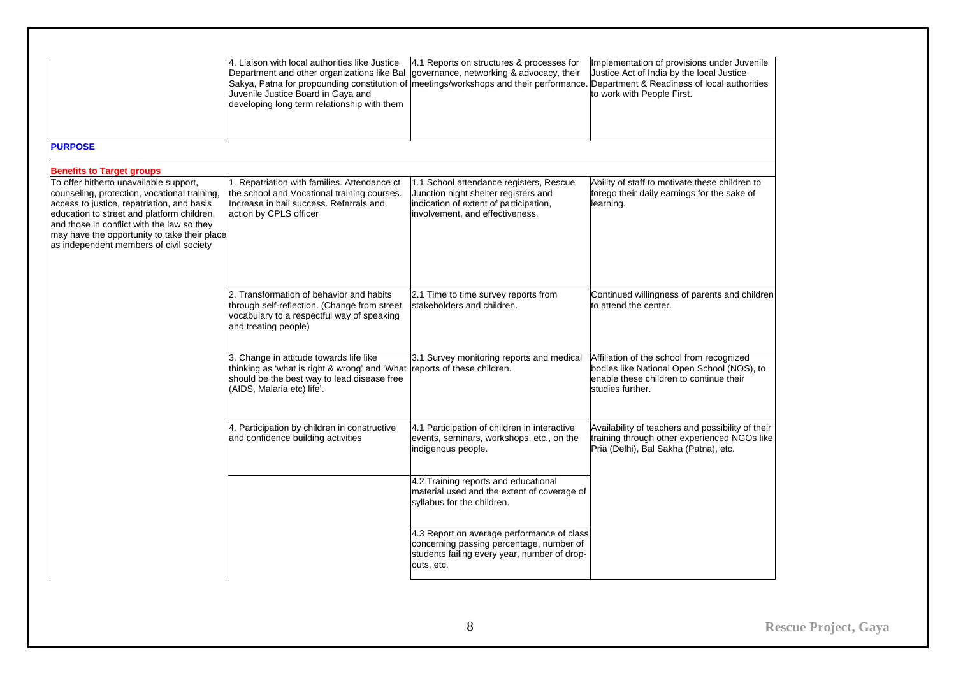|                                                                                                                                                                                                                                                                                                                             | 4. Liaison with local authorities like Justice<br>Department and other organizations like Bal<br>Sakya, Patna for propounding constitution of meetings/workshops and their performance. Department & Readiness of local authorities<br>Juvenile Justice Board in Gaya and<br>developing long term relationship with them | 4.1 Reports on structures & processes for<br>governance, networking & advocacy, their                                                                        | Implementation of provisions under Juvenile<br>Justice Act of India by the local Justice<br>to work with People First.                                 |
|-----------------------------------------------------------------------------------------------------------------------------------------------------------------------------------------------------------------------------------------------------------------------------------------------------------------------------|--------------------------------------------------------------------------------------------------------------------------------------------------------------------------------------------------------------------------------------------------------------------------------------------------------------------------|--------------------------------------------------------------------------------------------------------------------------------------------------------------|--------------------------------------------------------------------------------------------------------------------------------------------------------|
| <b>PURPOSE</b>                                                                                                                                                                                                                                                                                                              |                                                                                                                                                                                                                                                                                                                          |                                                                                                                                                              |                                                                                                                                                        |
| <b>Benefits to Target groups</b>                                                                                                                                                                                                                                                                                            |                                                                                                                                                                                                                                                                                                                          |                                                                                                                                                              |                                                                                                                                                        |
| To offer hitherto unavailable support,<br>counseling, protection, vocational training,<br>access to justice, repatriation, and basis<br>education to street and platform children,<br>and those in conflict with the law so they<br>may have the opportunity to take their place<br>as independent members of civil society | 1. Repatriation with families. Attendance ct<br>the school and Vocational training courses.<br>Increase in bail success. Referrals and<br>action by CPLS officer                                                                                                                                                         | 1.1 School attendance registers, Rescue<br>Junction night shelter registers and<br>indication of extent of participation,<br>involvement, and effectiveness. | Ability of staff to motivate these children to<br>forego their daily earnings for the sake of<br>learning.                                             |
|                                                                                                                                                                                                                                                                                                                             | 2. Transformation of behavior and habits<br>through self-reflection. (Change from street<br>vocabulary to a respectful way of speaking<br>and treating people)                                                                                                                                                           | 2.1 Time to time survey reports from<br>stakeholders and children.                                                                                           | Continued willingness of parents and children<br>to attend the center.                                                                                 |
|                                                                                                                                                                                                                                                                                                                             | 3. Change in attitude towards life like<br>thinking as 'what is right & wrong' and 'What reports of these children.<br>should be the best way to lead disease free<br>(AIDS, Malaria etc) life'.                                                                                                                         | 3.1 Survey monitoring reports and medical                                                                                                                    | Affiliation of the school from recognized<br>bodies like National Open School (NOS), to<br>enable these children to continue their<br>studies further. |
|                                                                                                                                                                                                                                                                                                                             | 4. Participation by children in constructive<br>and confidence building activities                                                                                                                                                                                                                                       | 4.1 Participation of children in interactive<br>events, seminars, workshops, etc., on the<br>indigenous people.                                              | Availability of teachers and possibility of their<br>training through other experienced NGOs like<br>Pria (Delhi), Bal Sakha (Patna), etc.             |
|                                                                                                                                                                                                                                                                                                                             |                                                                                                                                                                                                                                                                                                                          | 4.2 Training reports and educational<br>material used and the extent of coverage of<br>syllabus for the children.                                            |                                                                                                                                                        |
|                                                                                                                                                                                                                                                                                                                             |                                                                                                                                                                                                                                                                                                                          | 4.3 Report on average performance of class<br>concerning passing percentage, number of<br>students failing every year, number of drop-<br>outs, etc.         |                                                                                                                                                        |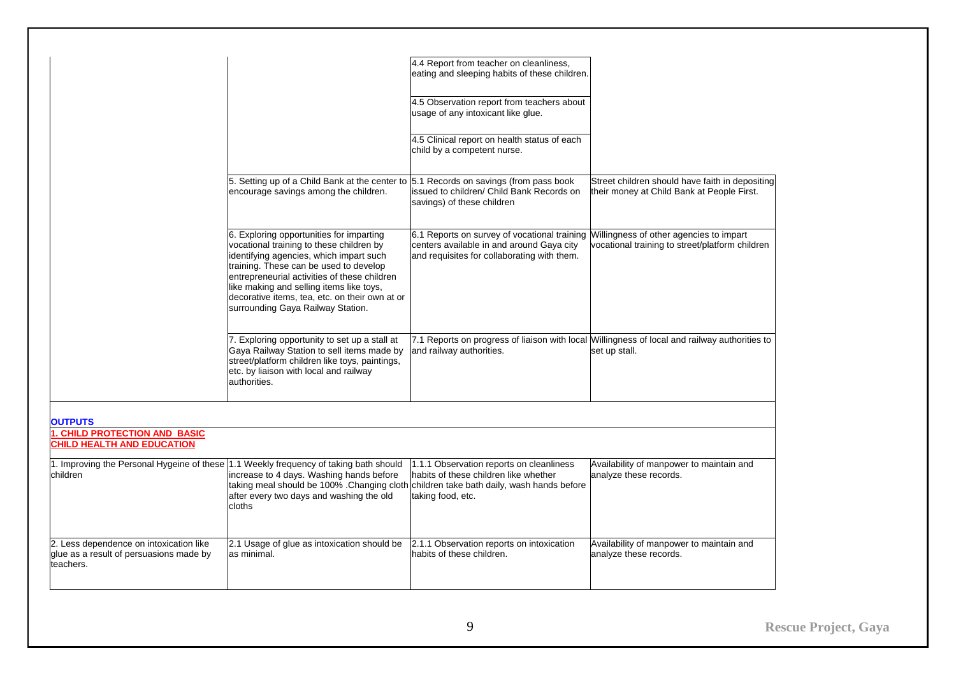|                                                                                                 |                                                                                                                                                                                                                                                                                                                                                              | 4.4 Report from teacher on cleanliness,<br>eating and sleeping habits of these children.                                                                                         |                                                                                                                |
|-------------------------------------------------------------------------------------------------|--------------------------------------------------------------------------------------------------------------------------------------------------------------------------------------------------------------------------------------------------------------------------------------------------------------------------------------------------------------|----------------------------------------------------------------------------------------------------------------------------------------------------------------------------------|----------------------------------------------------------------------------------------------------------------|
|                                                                                                 |                                                                                                                                                                                                                                                                                                                                                              | 4.5 Observation report from teachers about<br>usage of any intoxicant like glue.                                                                                                 |                                                                                                                |
|                                                                                                 |                                                                                                                                                                                                                                                                                                                                                              | 4.5 Clinical report on health status of each<br>child by a competent nurse.                                                                                                      |                                                                                                                |
|                                                                                                 | 5. Setting up of a Child Bank at the center to 5.1 Records on savings (from pass book<br>encourage savings among the children.                                                                                                                                                                                                                               | issued to children/ Child Bank Records on<br>savings) of these children                                                                                                          | Street children should have faith in depositing<br>their money at Child Bank at People First.                  |
|                                                                                                 | 6. Exploring opportunities for imparting<br>vocational training to these children by<br>identifying agencies, which impart such<br>training. These can be used to develop<br>entrepreneurial activities of these children<br>like making and selling items like toys,<br>decorative items, tea, etc. on their own at or<br>surrounding Gaya Railway Station. | 6.1 Reports on survey of vocational training Willingness of other agencies to impart<br>centers available in and around Gaya city<br>and requisites for collaborating with them. | vocational training to street/platform children                                                                |
|                                                                                                 | 7. Exploring opportunity to set up a stall at<br>Gaya Railway Station to sell items made by<br>street/platform children like toys, paintings,<br>etc. by liaison with local and railway<br>authorities.                                                                                                                                                      | and railway authorities.                                                                                                                                                         | 7.1 Reports on progress of liaison with local Willingness of local and railway authorities to<br>set up stall. |
| <b>OUTPUTS</b>                                                                                  |                                                                                                                                                                                                                                                                                                                                                              |                                                                                                                                                                                  |                                                                                                                |
| 1. CHILD PROTECTION AND BASIC<br><b>CHILD HEALTH AND EDUCATION</b>                              |                                                                                                                                                                                                                                                                                                                                                              |                                                                                                                                                                                  |                                                                                                                |
| children                                                                                        | 1. Improving the Personal Hygeine of these 1.1 Weekly frequency of taking bath should<br>increase to 4 days. Washing hands before<br>taking meal should be 100% . Changing cloth children take bath daily, wash hands before<br>after every two days and washing the old<br>cloths                                                                           | 1.1.1 Observation reports on cleanliness<br>habits of these children like whether<br>taking food, etc.                                                                           | Availability of manpower to maintain and<br>analyze these records.                                             |
| 2. Less dependence on intoxication like<br>glue as a result of persuasions made by<br>teachers. | 2.1 Usage of glue as intoxication should be<br>as minimal.                                                                                                                                                                                                                                                                                                   | 2.1.1 Observation reports on intoxication<br>habits of these children.                                                                                                           | Availability of manpower to maintain and<br>analyze these records.                                             |
|                                                                                                 |                                                                                                                                                                                                                                                                                                                                                              |                                                                                                                                                                                  |                                                                                                                |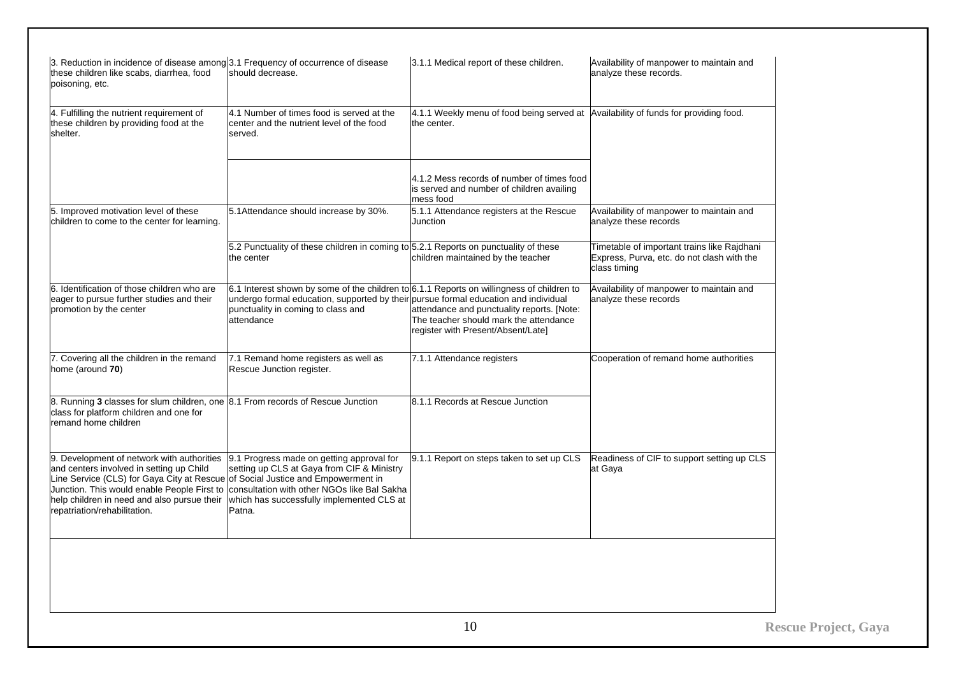| 3. Reduction in incidence of disease among 3.1 Frequency of occurrence of disease<br>these children like scabs, diarrhea, food<br>poisoning, etc.                                                                                                                                                       | should decrease.                                                                                                                                                                                                                         | 3.1.1 Medical report of these children.                                                                                    | Availability of manpower to maintain and<br>analyze these records.                                        |
|---------------------------------------------------------------------------------------------------------------------------------------------------------------------------------------------------------------------------------------------------------------------------------------------------------|------------------------------------------------------------------------------------------------------------------------------------------------------------------------------------------------------------------------------------------|----------------------------------------------------------------------------------------------------------------------------|-----------------------------------------------------------------------------------------------------------|
| 4. Fulfilling the nutrient requirement of<br>these children by providing food at the<br>shelter.                                                                                                                                                                                                        | 4.1 Number of times food is served at the<br>center and the nutrient level of the food<br>served.                                                                                                                                        | 4.1.1 Weekly menu of food being served at Availability of funds for providing food.<br>the center.                         |                                                                                                           |
|                                                                                                                                                                                                                                                                                                         |                                                                                                                                                                                                                                          | 4.1.2 Mess records of number of times food<br>is served and number of children availing<br>mess food                       |                                                                                                           |
| 5. Improved motivation level of these<br>children to come to the center for learning.                                                                                                                                                                                                                   | 5.1Attendance should increase by 30%.                                                                                                                                                                                                    | 5.1.1 Attendance registers at the Rescue<br>Junction                                                                       | Availability of manpower to maintain and<br>analyze these records                                         |
|                                                                                                                                                                                                                                                                                                         | 5.2 Punctuality of these children in coming to 5.2.1 Reports on punctuality of these<br>the center                                                                                                                                       | children maintained by the teacher                                                                                         | Timetable of important trains like Rajdhani<br>Express, Purva, etc. do not clash with the<br>class timing |
| 6. Identification of those children who are<br>eager to pursue further studies and their<br>promotion by the center                                                                                                                                                                                     | $6.1$ Interest shown by some of the children to $6.1.1$ Reports on willingness of children to<br>undergo formal education, supported by their pursue formal education and individual<br>punctuality in coming to class and<br>attendance | attendance and punctuality reports. [Note:<br>The teacher should mark the attendance<br>register with Present/Absent/Late] | Availability of manpower to maintain and<br>analyze these records                                         |
| 7. Covering all the children in the remand<br>home (around 70)                                                                                                                                                                                                                                          | 7.1 Remand home registers as well as<br>Rescue Junction register.                                                                                                                                                                        | 7.1.1 Attendance registers                                                                                                 | Cooperation of remand home authorities                                                                    |
| 8. Running 3 classes for slum children, one 8.1 From records of Rescue Junction<br>class for platform children and one for<br>remand home children                                                                                                                                                      |                                                                                                                                                                                                                                          | 8.1.1 Records at Rescue Junction                                                                                           |                                                                                                           |
| 9. Development of network with authorities<br>and centers involved in setting up Child<br>Line Service (CLS) for Gaya City at Rescue of Social Justice and Empowerment in<br>Junction. This would enable People First to<br>help children in need and also pursue their<br>repatriation/rehabilitation. | 9.1 Progress made on getting approval for<br>setting up CLS at Gaya from CIF & Ministry<br>consultation with other NGOs like Bal Sakha<br>which has successfully implemented CLS at<br>Patna.                                            | 9.1.1 Report on steps taken to set up CLS                                                                                  | Readiness of CIF to support setting up CLS<br>at Gaya                                                     |
|                                                                                                                                                                                                                                                                                                         |                                                                                                                                                                                                                                          |                                                                                                                            |                                                                                                           |
|                                                                                                                                                                                                                                                                                                         |                                                                                                                                                                                                                                          | 1 <sub>0</sub>                                                                                                             | D                                                                                                         |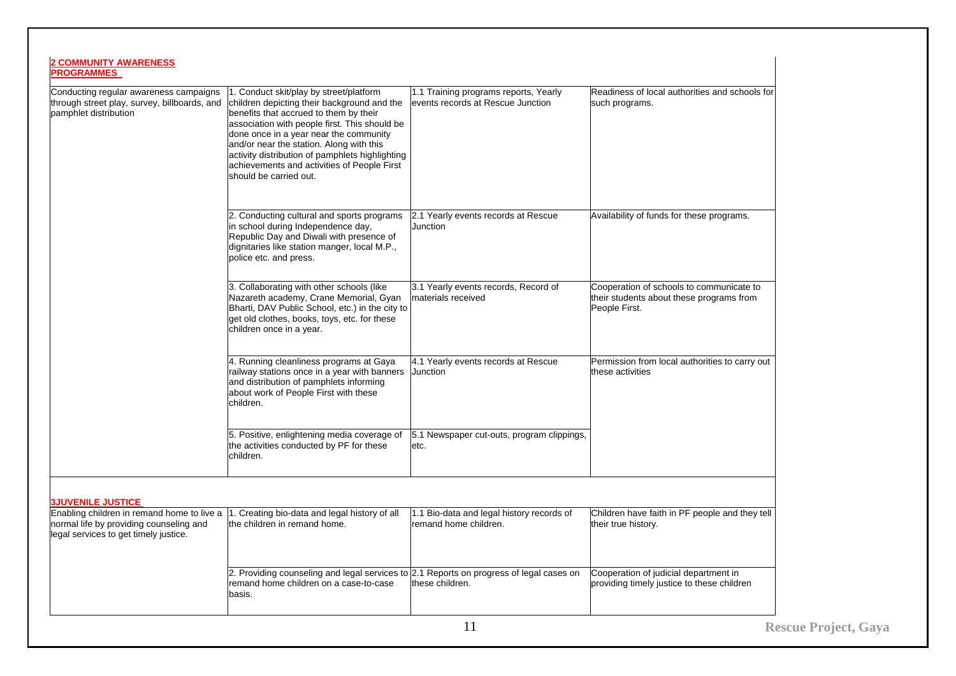| <b>2 COMMUNITY AWARENESS</b><br><b>PROGRAMMES</b>                                                                              |                                                                                                                                                                                                                                                                                                                                                                                                     |                                                                            |                                                                                                       |
|--------------------------------------------------------------------------------------------------------------------------------|-----------------------------------------------------------------------------------------------------------------------------------------------------------------------------------------------------------------------------------------------------------------------------------------------------------------------------------------------------------------------------------------------------|----------------------------------------------------------------------------|-------------------------------------------------------------------------------------------------------|
| Conducting regular awareness campaigns<br>through street play, survey, billboards, and<br>pamphlet distribution                | 1. Conduct skit/play by street/platform<br>children depicting their background and the<br>benefits that accrued to them by their<br>association with people first. This should be<br>done once in a year near the community<br>and/or near the station. Along with this<br>activity distribution of pamphlets highlighting<br>achievements and activities of People First<br>should be carried out. | 1.1 Training programs reports, Yearly<br>events records at Rescue Junction | Readiness of local authorities and schools for<br>such programs.                                      |
|                                                                                                                                | 2. Conducting cultural and sports programs<br>in school during Independence day,<br>Republic Day and Diwali with presence of<br>dignitaries like station manger, local M.P.,<br>police etc. and press.                                                                                                                                                                                              | 2.1 Yearly events records at Rescue<br>Junction                            | Availability of funds for these programs.                                                             |
|                                                                                                                                | 3. Collaborating with other schools (like<br>Nazareth academy, Crane Memorial, Gyan<br>Bharti, DAV Public School, etc.) in the city to<br>get old clothes, books, toys, etc. for these<br>children once in a year.                                                                                                                                                                                  | 3.1 Yearly events records, Record of<br>materials received                 | Cooperation of schools to communicate to<br>their students about these programs from<br>People First. |
|                                                                                                                                | 4. Running cleanliness programs at Gaya<br>railway stations once in a year with banners<br>and distribution of pamphlets informing<br>about work of People First with these<br>children.                                                                                                                                                                                                            | 4.1 Yearly events records at Rescue<br>Junction                            | Permission from local authorities to carry out<br>these activities                                    |
|                                                                                                                                | 5. Positive, enlightening media coverage of<br>the activities conducted by PF for these<br>children.                                                                                                                                                                                                                                                                                                | 5.1 Newspaper cut-outs, program clippings,<br>etc.                         |                                                                                                       |
| <b>3JUVENILE JUSTICE</b>                                                                                                       |                                                                                                                                                                                                                                                                                                                                                                                                     |                                                                            |                                                                                                       |
| Enabling children in remand home to live a<br>normal life by providing counseling and<br>legal services to get timely justice. | 1. Creating bio-data and legal history of all<br>the children in remand home.                                                                                                                                                                                                                                                                                                                       | 1.1 Bio-data and legal history records of<br>remand home children.         | Children have faith in PF people and they tell<br>their true history.                                 |
|                                                                                                                                | 2. Providing counseling and legal services to 2.1 Reports on progress of legal cases on<br>remand home children on a case-to-case<br>basis.                                                                                                                                                                                                                                                         | these children.                                                            | Cooperation of judicial department in<br>providing timely justice to these children                   |
|                                                                                                                                |                                                                                                                                                                                                                                                                                                                                                                                                     | 11                                                                         | <b>Reso</b>                                                                                           |

**Rescue Project, Gaya**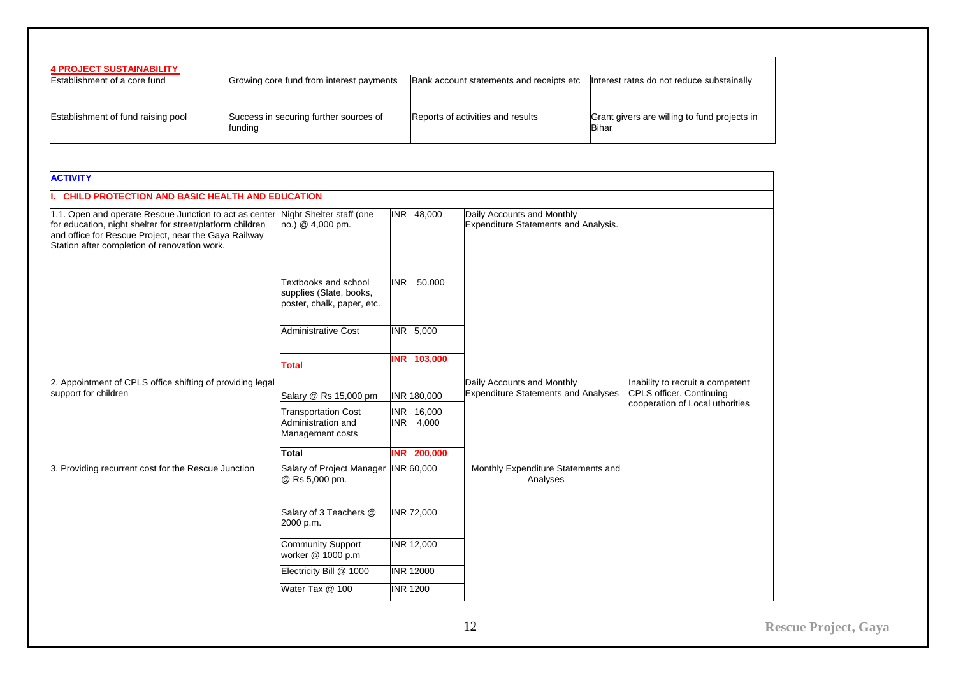| <b>4 PROJECT SUSTAINABILITY</b>    |                                                   |                                          |                                                              |
|------------------------------------|---------------------------------------------------|------------------------------------------|--------------------------------------------------------------|
| Establishment of a core fund       | Growing core fund from interest payments          | Bank account statements and receipts etc | Interest rates do not reduce substainally                    |
| Establishment of fund raising pool | Success in securing further sources of<br>funding | Reports of activities and results        | Grant givers are willing to fund projects in<br><b>Bihar</b> |

<span id="page-13-0"></span>

| <b>ACTIVITY</b>                                                                                                                                                                                                             |                                                                               |                    |                                                                                                      |                                                                     |  |
|-----------------------------------------------------------------------------------------------------------------------------------------------------------------------------------------------------------------------------|-------------------------------------------------------------------------------|--------------------|------------------------------------------------------------------------------------------------------|---------------------------------------------------------------------|--|
|                                                                                                                                                                                                                             | CHILD PROTECTION AND BASIC HEALTH AND EDUCATION                               |                    |                                                                                                      |                                                                     |  |
| 1.1. Open and operate Rescue Junction to act as center<br>for education, night shelter for street/platform children<br>and office for Rescue Project, near the Gaya Railway<br>Station after completion of renovation work. | Night Shelter staff (one<br>no.) @ 4,000 pm.                                  | INR 48,000         | Daily Accounts and Monthly<br><b>Expenditure Statements and Analysis.</b>                            |                                                                     |  |
|                                                                                                                                                                                                                             | Textbooks and school<br>supplies (Slate, books,<br>poster, chalk, paper, etc. | INR 50,000         |                                                                                                      |                                                                     |  |
|                                                                                                                                                                                                                             | <b>Administrative Cost</b>                                                    | INR 5,000          |                                                                                                      |                                                                     |  |
|                                                                                                                                                                                                                             | <b>Total</b>                                                                  | INR 103,000        |                                                                                                      |                                                                     |  |
| 2. Appointment of CPLS office shifting of providing legal<br>support for children                                                                                                                                           | Salary @ Rs 15,000 pm                                                         | <b>INR 180,000</b> | Daily Accounts and Monthly<br><b>Expenditure Statements and Analyses</b><br>CPLS officer. Continuing | Inability to recruit a competent<br>cooperation of Local uthorities |  |
|                                                                                                                                                                                                                             | <b>Transportation Cost</b>                                                    | INR 16,000         |                                                                                                      |                                                                     |  |
|                                                                                                                                                                                                                             | Administration and<br>Management costs                                        | INR 4,000          |                                                                                                      |                                                                     |  |
|                                                                                                                                                                                                                             | Total                                                                         | <b>INR 200,000</b> |                                                                                                      |                                                                     |  |
| 3. Providing recurrent cost for the Rescue Junction                                                                                                                                                                         | Salary of Project Manager INR 60,000<br>@ Rs 5,000 pm.                        |                    | Monthly Expenditure Statements and<br>Analyses                                                       |                                                                     |  |
|                                                                                                                                                                                                                             | Salary of 3 Teachers @<br>2000 p.m.                                           | INR 72,000         |                                                                                                      |                                                                     |  |
|                                                                                                                                                                                                                             | <b>Community Support</b><br>worker @ 1000 p.m                                 | <b>INR 12,000</b>  |                                                                                                      |                                                                     |  |
|                                                                                                                                                                                                                             | Electricity Bill @ 1000                                                       | <b>INR 12000</b>   |                                                                                                      |                                                                     |  |
|                                                                                                                                                                                                                             | Water Tax @ 100                                                               | <b>INR 1200</b>    |                                                                                                      |                                                                     |  |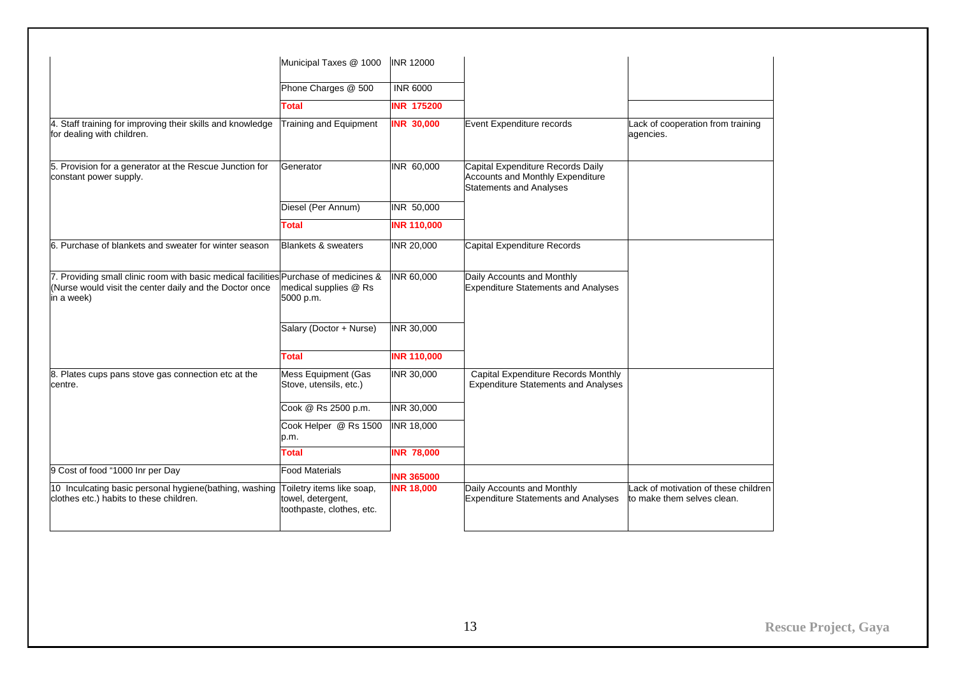| Phone Charges @ 500                                                         | <b>INR 6000</b>                                                                                                                                                          |                                                                                                         |                                                                    |
|-----------------------------------------------------------------------------|--------------------------------------------------------------------------------------------------------------------------------------------------------------------------|---------------------------------------------------------------------------------------------------------|--------------------------------------------------------------------|
| <b>Total</b>                                                                | <b>INR 175200</b>                                                                                                                                                        |                                                                                                         |                                                                    |
| <b>Training and Equipment</b>                                               | <b>INR 30,000</b>                                                                                                                                                        | Event Expenditure records                                                                               | Lack of cooperation from training<br>agencies.                     |
| Generator                                                                   | INR 60,000                                                                                                                                                               | Capital Expenditure Records Daily<br>Accounts and Monthly Expenditure<br><b>Statements and Analyses</b> |                                                                    |
| Diesel (Per Annum)                                                          | INR 50,000                                                                                                                                                               |                                                                                                         |                                                                    |
| <b>Total</b>                                                                | <b>INR 110,000</b>                                                                                                                                                       |                                                                                                         |                                                                    |
| <b>Blankets &amp; sweaters</b>                                              | INR 20,000                                                                                                                                                               | Capital Expenditure Records                                                                             |                                                                    |
| medical supplies @ Rs<br>5000 p.m.                                          | INR 60,000                                                                                                                                                               | Daily Accounts and Monthly<br><b>Expenditure Statements and Analyses</b>                                |                                                                    |
| Salary (Doctor + Nurse)                                                     | INR 30,000                                                                                                                                                               |                                                                                                         |                                                                    |
| <b>Total</b>                                                                | <b>INR 110,000</b>                                                                                                                                                       |                                                                                                         |                                                                    |
| <b>Mess Equipment (Gas</b><br>Stove, utensils, etc.)                        | INR 30,000                                                                                                                                                               | Capital Expenditure Records Monthly<br><b>Expenditure Statements and Analyses</b>                       |                                                                    |
| Cook @ Rs 2500 p.m.                                                         | INR 30,000                                                                                                                                                               |                                                                                                         |                                                                    |
| Cook Helper @ Rs 1500<br>p.m.                                               | <b>INR 18,000</b>                                                                                                                                                        |                                                                                                         |                                                                    |
| Total                                                                       | <b>INR 78,000</b>                                                                                                                                                        |                                                                                                         |                                                                    |
| <b>Food Materials</b>                                                       | <b>INR 365000</b>                                                                                                                                                        |                                                                                                         |                                                                    |
| Toiletry items like soap,<br>towel, detergent,<br>toothpaste, clothes, etc. | <b>INR 18,000</b>                                                                                                                                                        | Daily Accounts and Monthly<br><b>Expenditure Statements and Analyses</b>                                | Lack of motivation of these children<br>to make them selves clean. |
| 4. Staff training for improving their skills and knowledge                  | Municipal Taxes @ 1000<br>7. Providing small clinic room with basic medical facilities Purchase of medicines &<br>10 Inculcating basic personal hygiene(bathing, washing | <b>INR 12000</b>                                                                                        |                                                                    |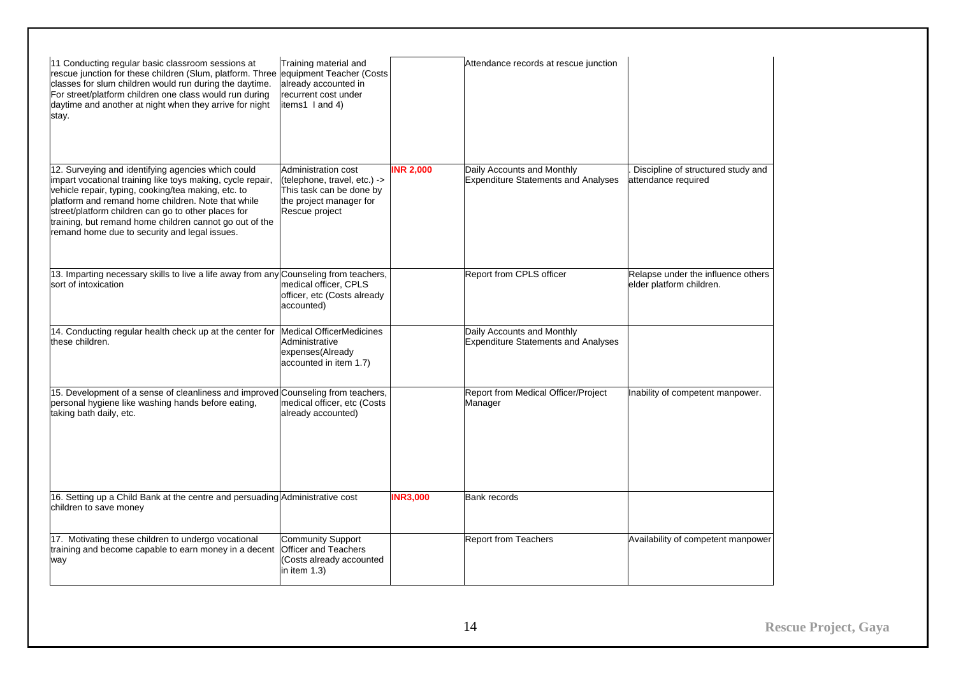| 11 Conducting regular basic classroom sessions at<br>rescue junction for these children (Slum, platform. Three equipment Teacher (Costs<br>classes for slum children would run during the daytime.<br>For street/platform children one class would run during<br>daytime and another at night when they arrive for night<br>stay.                                                                | Training material and<br>already accounted in<br>recurrent cost under<br>items1 I and 4)                                     |                  | Attendance records at rescue junction                                    |                                                                |
|--------------------------------------------------------------------------------------------------------------------------------------------------------------------------------------------------------------------------------------------------------------------------------------------------------------------------------------------------------------------------------------------------|------------------------------------------------------------------------------------------------------------------------------|------------------|--------------------------------------------------------------------------|----------------------------------------------------------------|
| 12. Surveying and identifying agencies which could<br>impart vocational training like toys making, cycle repair,<br>vehicle repair, typing, cooking/tea making, etc. to<br>platform and remand home children. Note that while<br>street/platform children can go to other places for<br>training, but remand home children cannot go out of the<br>remand home due to security and legal issues. | Administration cost<br>(telephone, travel, etc.) -><br>This task can be done by<br>the project manager for<br>Rescue project | <b>INR 2,000</b> | Daily Accounts and Monthly<br><b>Expenditure Statements and Analyses</b> | Discipline of structured study and<br>attendance required      |
| 13. Imparting necessary skills to live a life away from any Counseling from teachers,<br>sort of intoxication                                                                                                                                                                                                                                                                                    | medical officer, CPLS<br>officer, etc (Costs already<br>accounted)                                                           |                  | Report from CPLS officer                                                 | Relapse under the influence others<br>elder platform children. |
| 14. Conducting regular health check up at the center for Medical OfficerMedicines<br>these children.                                                                                                                                                                                                                                                                                             | Administrative<br>expenses(Already<br>accounted in item 1.7)                                                                 |                  | Daily Accounts and Monthly<br><b>Expenditure Statements and Analyses</b> |                                                                |
| 15. Development of a sense of cleanliness and improved Counseling from teachers,<br>personal hygiene like washing hands before eating,<br>taking bath daily, etc.                                                                                                                                                                                                                                | medical officer, etc (Costs<br>already accounted)                                                                            |                  | Report from Medical Officer/Project<br>Manager                           | Inability of competent manpower.                               |
| 16. Setting up a Child Bank at the centre and persuading Administrative cost<br>children to save money                                                                                                                                                                                                                                                                                           |                                                                                                                              | <b>INR3,000</b>  | <b>Bank records</b>                                                      |                                                                |
| 17. Motivating these children to undergo vocational<br>training and become capable to earn money in a decent<br>way                                                                                                                                                                                                                                                                              | <b>Community Support</b><br><b>Officer and Teachers</b><br>(Costs already accounted<br>in item 1.3)                          |                  | <b>Report from Teachers</b>                                              | Availability of competent manpower                             |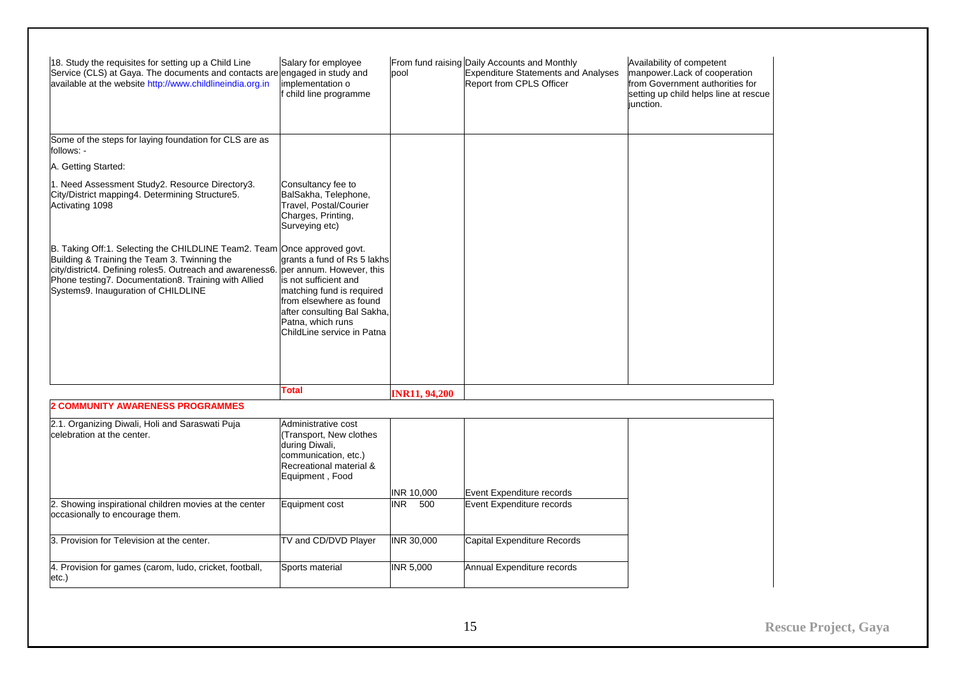| 18. Study the requisites for setting up a Child Line<br>Service (CLS) at Gaya. The documents and contacts are engaged in study and<br>available at the website http://www.childlineindia.org.in                                                                                      | Salary for employee<br>implementation o<br>child line programme                                                                                                                                                            | pool                 | From fund raising Daily Accounts and Monthly<br><b>Expenditure Statements and Analyses</b><br>Report from CPLS Officer | Availability of competent<br>manpower.Lack of cooperation<br>from Government authorities for<br>setting up child helps line at rescue<br>junction. |
|--------------------------------------------------------------------------------------------------------------------------------------------------------------------------------------------------------------------------------------------------------------------------------------|----------------------------------------------------------------------------------------------------------------------------------------------------------------------------------------------------------------------------|----------------------|------------------------------------------------------------------------------------------------------------------------|----------------------------------------------------------------------------------------------------------------------------------------------------|
| Some of the steps for laying foundation for CLS are as<br>follows: -                                                                                                                                                                                                                 |                                                                                                                                                                                                                            |                      |                                                                                                                        |                                                                                                                                                    |
| A. Getting Started:                                                                                                                                                                                                                                                                  |                                                                                                                                                                                                                            |                      |                                                                                                                        |                                                                                                                                                    |
| 1. Need Assessment Study2. Resource Directory3.<br>City/District mapping4. Determining Structure5.<br>Activating 1098                                                                                                                                                                | Consultancy fee to<br>BalSakha, Telephone,<br>Travel, Postal/Courier<br>Charges, Printing,<br>Surveying etc)                                                                                                               |                      |                                                                                                                        |                                                                                                                                                    |
| B. Taking Off:1. Selecting the CHILDLINE Team2. Team Once approved govt.<br>Building & Training the Team 3. Twinning the<br>city/district4. Defining roles5. Outreach and awareness6.<br>Phone testing7. Documentation8. Training with Allied<br>Systems9. Inauguration of CHILDLINE | grants a fund of Rs 5 lakhs<br>per annum. However, this<br>is not sufficient and<br>matching fund is required<br>from elsewhere as found<br>after consulting Bal Sakha,<br>Patna, which runs<br>ChildLine service in Patna |                      |                                                                                                                        |                                                                                                                                                    |
|                                                                                                                                                                                                                                                                                      | Total                                                                                                                                                                                                                      | <b>INR11, 94,200</b> |                                                                                                                        |                                                                                                                                                    |
| <b>2 COMMUNITY AWARENESS PROGRAMMES</b>                                                                                                                                                                                                                                              |                                                                                                                                                                                                                            |                      |                                                                                                                        |                                                                                                                                                    |
| 2.1. Organizing Diwali, Holi and Saraswati Puja<br>celebration at the center.                                                                                                                                                                                                        | Administrative cost<br>Transport, New clothes<br>during Diwali,<br>communication, etc.)<br>Recreational material &<br>Equipment, Food                                                                                      |                      |                                                                                                                        |                                                                                                                                                    |
|                                                                                                                                                                                                                                                                                      |                                                                                                                                                                                                                            | INR 10,000           | Event Expenditure records                                                                                              |                                                                                                                                                    |
| 2. Showing inspirational children movies at the center<br>occasionally to encourage them.                                                                                                                                                                                            | Equipment cost                                                                                                                                                                                                             | 500<br>INR.          | Event Expenditure records                                                                                              |                                                                                                                                                    |
| 3. Provision for Television at the center.                                                                                                                                                                                                                                           | TV and CD/DVD Player                                                                                                                                                                                                       | INR 30,000           | Capital Expenditure Records                                                                                            |                                                                                                                                                    |
| 4. Provision for games (carom, ludo, cricket, football,<br>etc.)                                                                                                                                                                                                                     | Sports material                                                                                                                                                                                                            | INR 5,000            | Annual Expenditure records                                                                                             |                                                                                                                                                    |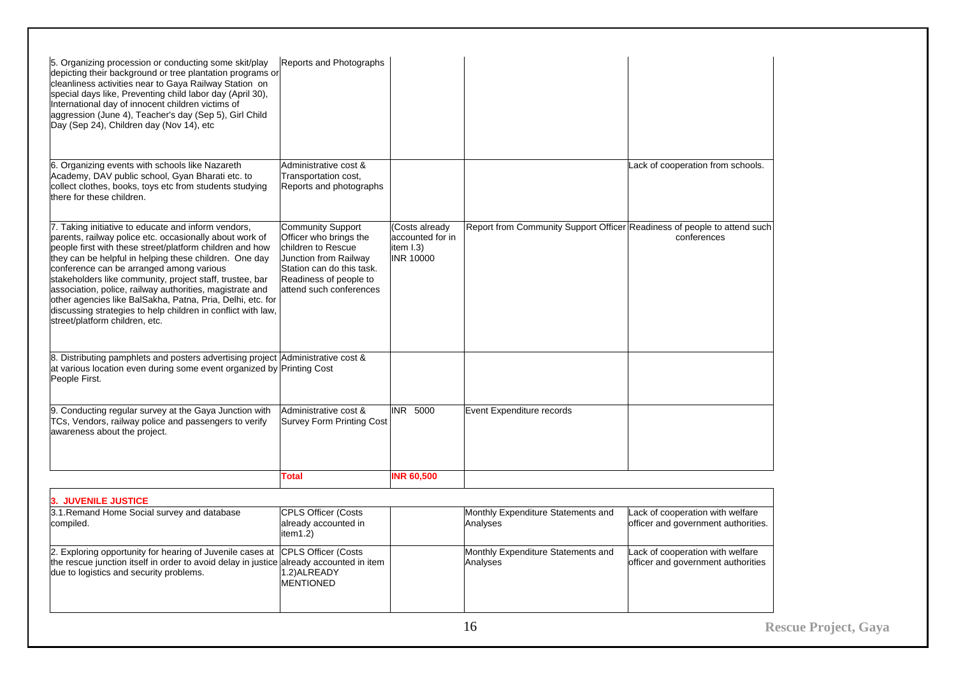| Reports and Photographs                                                                                                                                                                                                                |                                                                                                                                                                                                                                                                                                                                                                                                                                                                                                             |                                                                          |                                                                         |
|----------------------------------------------------------------------------------------------------------------------------------------------------------------------------------------------------------------------------------------|-------------------------------------------------------------------------------------------------------------------------------------------------------------------------------------------------------------------------------------------------------------------------------------------------------------------------------------------------------------------------------------------------------------------------------------------------------------------------------------------------------------|--------------------------------------------------------------------------|-------------------------------------------------------------------------|
| Administrative cost &<br>Transportation cost,<br>Reports and photographs                                                                                                                                                               |                                                                                                                                                                                                                                                                                                                                                                                                                                                                                                             |                                                                          | Lack of cooperation from schools.                                       |
| <b>Community Support</b><br>Officer who brings the<br>children to Rescue<br>Junction from Railway<br>Station can do this task.<br>Readiness of people to<br>attend such conferences                                                    | (Costs already<br>accounted for in<br>item I.3)<br><b>INR 10000</b>                                                                                                                                                                                                                                                                                                                                                                                                                                         | Report from Community Support Officer Readiness of people to attend such | conferences                                                             |
|                                                                                                                                                                                                                                        |                                                                                                                                                                                                                                                                                                                                                                                                                                                                                                             |                                                                          |                                                                         |
| Administrative cost &<br><b>Survey Form Printing Cost</b>                                                                                                                                                                              | INR 5000                                                                                                                                                                                                                                                                                                                                                                                                                                                                                                    | Event Expenditure records                                                |                                                                         |
| <b>Total</b>                                                                                                                                                                                                                           | <b>INR 60,500</b>                                                                                                                                                                                                                                                                                                                                                                                                                                                                                           |                                                                          |                                                                         |
|                                                                                                                                                                                                                                        |                                                                                                                                                                                                                                                                                                                                                                                                                                                                                                             |                                                                          |                                                                         |
| <b>CPLS Officer (Costs</b><br>already accounted in<br>item1.2)                                                                                                                                                                         |                                                                                                                                                                                                                                                                                                                                                                                                                                                                                                             | Monthly Expenditure Statements and<br>Analyses                           | Lack of cooperation with welfare<br>officer and government authorities. |
| <b>CPLS Officer (Costs</b><br>1.2) ALREADY<br><b>MENTIONED</b>                                                                                                                                                                         |                                                                                                                                                                                                                                                                                                                                                                                                                                                                                                             | Monthly Expenditure Statements and<br>Analyses                           | Lack of cooperation with welfare<br>officer and government authorities  |
| cleanliness activities near to Gaya Railway Station on<br>people first with these street/platform children and how<br>they can be helpful in helping these children. One day<br>9. Conducting regular survey at the Gaya Junction with | depicting their background or tree plantation programs or<br>other agencies like BalSakha, Patna, Pria, Delhi, etc. for<br>discussing strategies to help children in conflict with law,<br>8. Distributing pamphlets and posters advertising project Administrative cost &<br>at various location even during some event organized by Printing Cost<br>2. Exploring opportunity for hearing of Juvenile cases at<br>the rescue junction itself in order to avoid delay in justice already accounted in item |                                                                          | $\sim$                                                                  |

**Rescue Project, Gaya**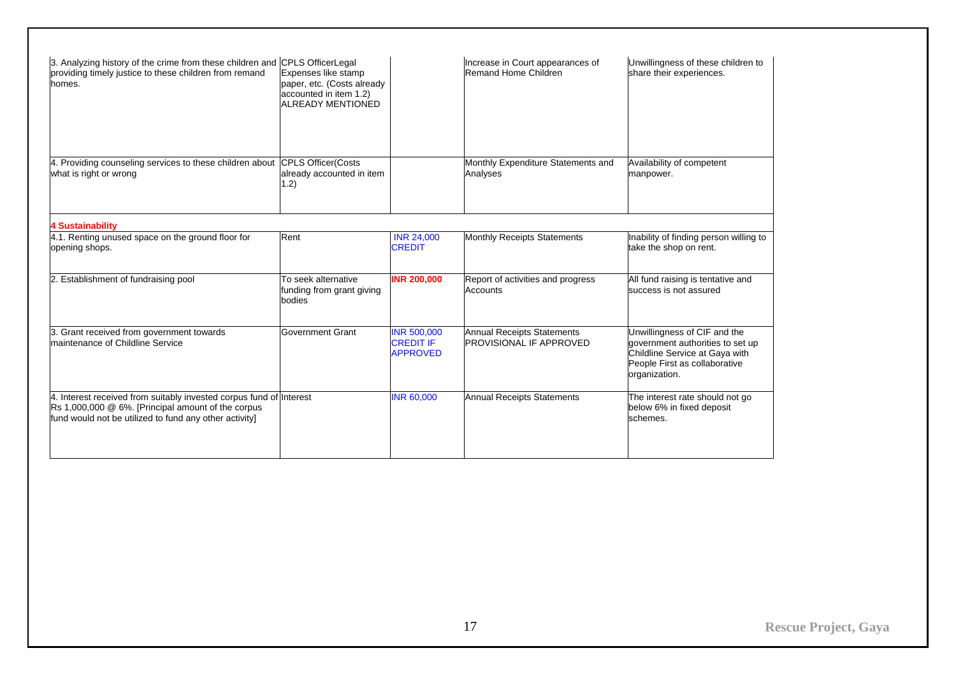| 3. Analyzing history of the crime from these children and CPLS OfficerLegal<br>providing timely justice to these children from remand<br>homes.                                     | Expenses like stamp<br>paper, etc. (Costs already<br>accounted in item 1.2)<br><b>ALREADY MENTIONED</b> |                                                           | Increase in Court appearances of<br>Remand Home Children            | Unwillingness of these children to<br>share their experiences.                                                                                       |
|-------------------------------------------------------------------------------------------------------------------------------------------------------------------------------------|---------------------------------------------------------------------------------------------------------|-----------------------------------------------------------|---------------------------------------------------------------------|------------------------------------------------------------------------------------------------------------------------------------------------------|
| 4. Providing counseling services to these children about<br>what is right or wrong                                                                                                  | <b>CPLS Officer(Costs</b><br>already accounted in item<br>1.2)                                          |                                                           | Monthly Expenditure Statements and<br>Analyses                      | Availability of competent<br>manpower.                                                                                                               |
| <b>4 Sustainability</b>                                                                                                                                                             |                                                                                                         |                                                           |                                                                     |                                                                                                                                                      |
| 4.1. Renting unused space on the ground floor for<br>opening shops.                                                                                                                 | Rent                                                                                                    | <b>INR 24,000</b><br><b>CREDIT</b>                        | <b>Monthly Receipts Statements</b>                                  | Inability of finding person willing to<br>take the shop on rent.                                                                                     |
| 2. Establishment of fundraising pool                                                                                                                                                | To seek alternative<br>funding from grant giving<br>bodies                                              | <b>INR 200,000</b>                                        | Report of activities and progress<br>Accounts                       | All fund raising is tentative and<br>success is not assured                                                                                          |
| 3. Grant received from government towards<br>maintenance of Childline Service                                                                                                       | Government Grant                                                                                        | <b>INR 500,000</b><br><b>CREDIT IF</b><br><b>APPROVED</b> | <b>Annual Receipts Statements</b><br><b>PROVISIONAL IF APPROVED</b> | Unwillingness of CIF and the<br>government authorities to set up<br>Childline Service at Gaya with<br>People First as collaborative<br>organization. |
| 4. Interest received from suitably invested corpus fund of Interest<br>Rs 1,000,000 @ 6%. [Principal amount of the corpus<br>fund would not be utilized to fund any other activity] |                                                                                                         | <b>INR 60,000</b>                                         | <b>Annual Receipts Statements</b>                                   | The interest rate should not go<br>below 6% in fixed deposit<br>schemes.                                                                             |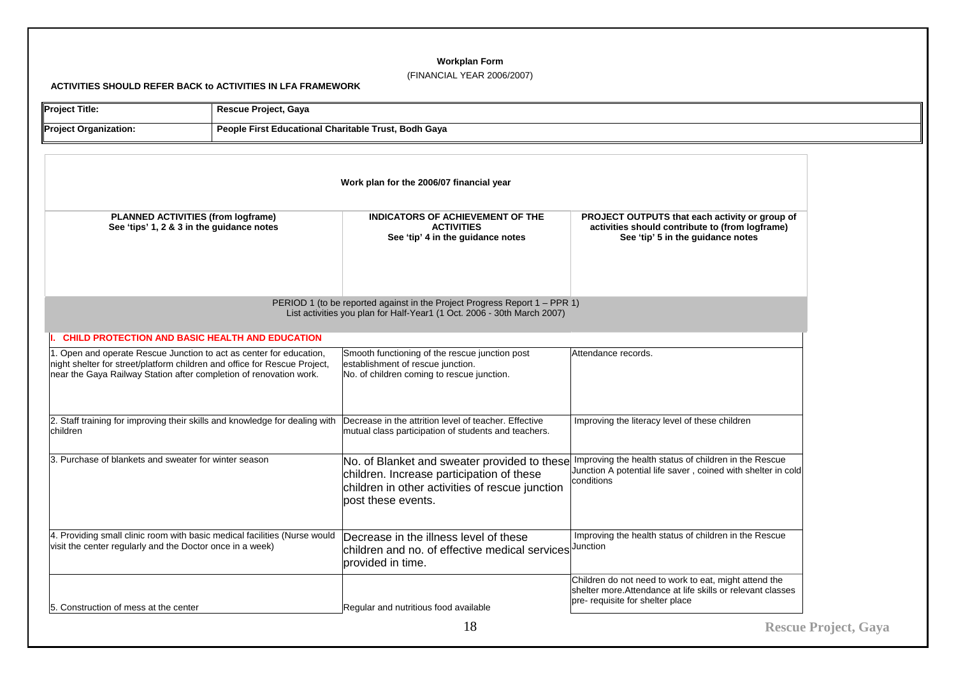# **Workplan Form**

# (FINANCIAL YEAR 2006/2007)

**ACTIVITIES SHOULD REFER BACK to ACTIVITIES IN LFA FRAMEWORK** 

| <b>Project Title:</b>                                                                                                                                                                              | Rescue Project, Gaya |                                                                                                                                                                                                                          |                                                                                                                                                          |                             |
|----------------------------------------------------------------------------------------------------------------------------------------------------------------------------------------------------|----------------------|--------------------------------------------------------------------------------------------------------------------------------------------------------------------------------------------------------------------------|----------------------------------------------------------------------------------------------------------------------------------------------------------|-----------------------------|
| <b>Project Organization:</b><br>People First Educational Charitable Trust, Bodh Gaya                                                                                                               |                      |                                                                                                                                                                                                                          |                                                                                                                                                          |                             |
|                                                                                                                                                                                                    |                      | Work plan for the 2006/07 financial year                                                                                                                                                                                 |                                                                                                                                                          |                             |
| PLANNED ACTIVITIES (from logframe)<br>See 'tips' 1, 2 & 3 in the guidance notes                                                                                                                    |                      | INDICATORS OF ACHIEVEMENT OF THE<br><b>ACTIVITIES</b><br>See 'tip' 4 in the guidance notes                                                                                                                               | PROJECT OUTPUTS that each activity or group of<br>activities should contribute to (from logframe)<br>See 'tip' 5 in the guidance notes                   |                             |
| PERIOD 1 (to be reported against in the Project Progress Report 1 – PPR 1)<br>List activities you plan for Half-Year1 (1 Oct. 2006 - 30th March 2007)                                              |                      |                                                                                                                                                                                                                          |                                                                                                                                                          |                             |
| CHILD PROTECTION AND BASIC HEALTH AND EDUCATION<br>. Open and operate Rescue Junction to act as center for education,<br>night shelter for street/platform children and office for Rescue Project, |                      | Smooth functioning of the rescue junction post<br>establishment of rescue junction.                                                                                                                                      | Attendance records.                                                                                                                                      |                             |
| near the Gaya Railway Station after completion of renovation work.                                                                                                                                 |                      | No. of children coming to rescue junction.                                                                                                                                                                               |                                                                                                                                                          |                             |
| 2. Staff training for improving their skills and knowledge for dealing with<br>children                                                                                                            |                      | Decrease in the attrition level of teacher. Effective<br>mutual class participation of students and teachers.                                                                                                            | Improving the literacy level of these children                                                                                                           |                             |
| 3. Purchase of blankets and sweater for winter season                                                                                                                                              |                      | No. of Blanket and sweater provided to these Improving the health status of children in the Rescue<br>children. Increase participation of these<br>children in other activities of rescue junction<br>post these events. | Junction A potential life saver, coined with shelter in cold<br>conditions                                                                               |                             |
| 4. Providing small clinic room with basic medical facilities (Nurse would<br>visit the center regularly and the Doctor once in a week)                                                             |                      | Decrease in the illness level of these<br>children and no. of effective medical services Junction<br>provided in time.                                                                                                   | Improving the health status of children in the Rescue                                                                                                    |                             |
| 5. Construction of mess at the center                                                                                                                                                              |                      | Regular and nutritious food available                                                                                                                                                                                    | Children do not need to work to eat, might attend the<br>shelter more. Attendance at life skills or relevant classes<br>pre- requisite for shelter place |                             |
|                                                                                                                                                                                                    |                      | 18                                                                                                                                                                                                                       |                                                                                                                                                          | <b>Rescue Project, Gaya</b> |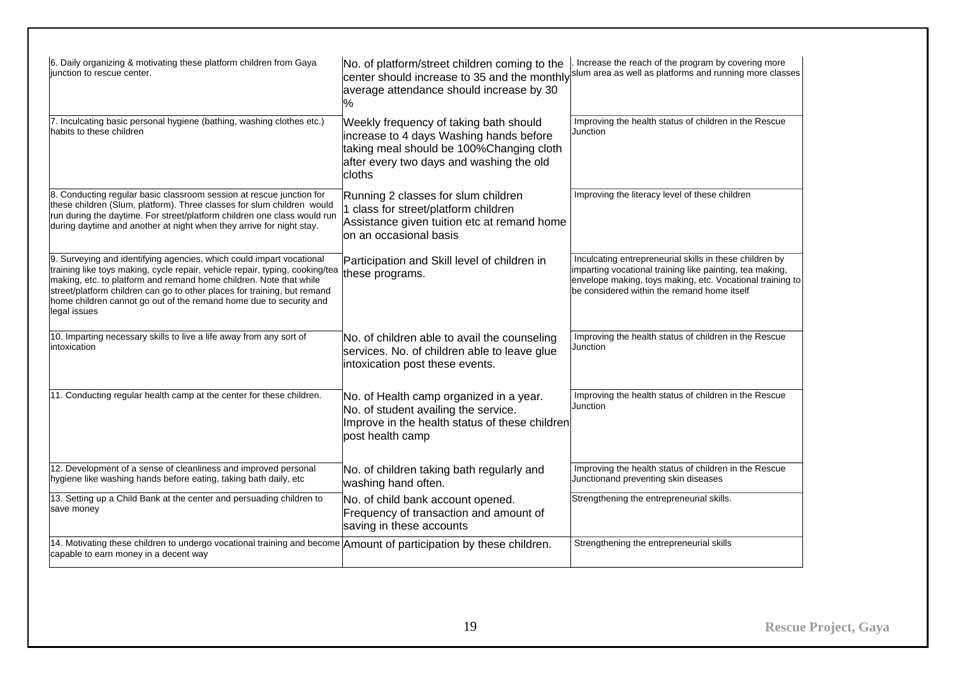| 6. Daily organizing & motivating these platform children from Gaya<br>junction to rescue center.                                                                                                                                                                                                                                                                                             | No. of platform/street children coming to the<br>average attendance should increase by 30<br>℅                                                                                      | Increase the reach of the program by covering more<br>center should increase to 35 and the monthly slum area as well as platforms and running more classes                                                                      |
|----------------------------------------------------------------------------------------------------------------------------------------------------------------------------------------------------------------------------------------------------------------------------------------------------------------------------------------------------------------------------------------------|-------------------------------------------------------------------------------------------------------------------------------------------------------------------------------------|---------------------------------------------------------------------------------------------------------------------------------------------------------------------------------------------------------------------------------|
| 7. Inculcating basic personal hygiene (bathing, washing clothes etc.)<br>habits to these children                                                                                                                                                                                                                                                                                            | Weekly frequency of taking bath should<br>increase to 4 days Washing hands before<br>taking meal should be 100%Changing cloth<br>after every two days and washing the old<br>cloths | Improving the health status of children in the Rescue<br>Junction                                                                                                                                                               |
| 8. Conducting regular basic classroom session at rescue junction for<br>these children (Slum, platform). Three classes for slum children would<br>run during the daytime. For street/platform children one class would run<br>during daytime and another at night when they arrive for night stay.                                                                                           | Running 2 classes for slum children<br>I class for street/platform children<br>Assistance given tuition etc at remand home<br>on an occasional basis                                | Improving the literacy level of these children                                                                                                                                                                                  |
| 9. Surveying and identifying agencies, which could impart vocational<br>training like toys making, cycle repair, vehicle repair, typing, cooking/tea<br>making, etc. to platform and remand home children. Note that while<br>street/platform children can go to other places for training, but remand<br>home children cannot go out of the remand home due to security and<br>legal issues | Participation and Skill level of children in<br>these programs.                                                                                                                     | Inculcating entrepreneurial skills in these children by<br>imparting vocational training like painting, tea making,<br>envelope making, toys making, etc. Vocational training to<br>be considered within the remand home itself |
| 10. Imparting necessary skills to live a life away from any sort of<br>intoxication                                                                                                                                                                                                                                                                                                          | No. of children able to avail the counseling<br>services. No. of children able to leave glue<br>intoxication post these events.                                                     | Improving the health status of children in the Rescue<br>Junction                                                                                                                                                               |
| 11. Conducting regular health camp at the center for these children.                                                                                                                                                                                                                                                                                                                         | No. of Health camp organized in a year.<br>No. of student availing the service.<br>Improve in the health status of these children<br>post health camp                               | Improving the health status of children in the Rescue<br>Junction                                                                                                                                                               |
| 12. Development of a sense of cleanliness and improved personal<br>hygiene like washing hands before eating, taking bath daily, etc                                                                                                                                                                                                                                                          | No. of children taking bath regularly and<br>washing hand often.                                                                                                                    | Improving the health status of children in the Rescue<br>Junctionand preventing skin diseases                                                                                                                                   |
| 13. Setting up a Child Bank at the center and persuading children to<br>save money                                                                                                                                                                                                                                                                                                           | No. of child bank account opened.<br>Frequency of transaction and amount of<br>saving in these accounts                                                                             | Strengthening the entrepreneurial skills.                                                                                                                                                                                       |
| 14. Motivating these children to undergo vocational training and become Amount of participation by these children.<br>capable to earn money in a decent way                                                                                                                                                                                                                                  |                                                                                                                                                                                     | Strengthening the entrepreneurial skills                                                                                                                                                                                        |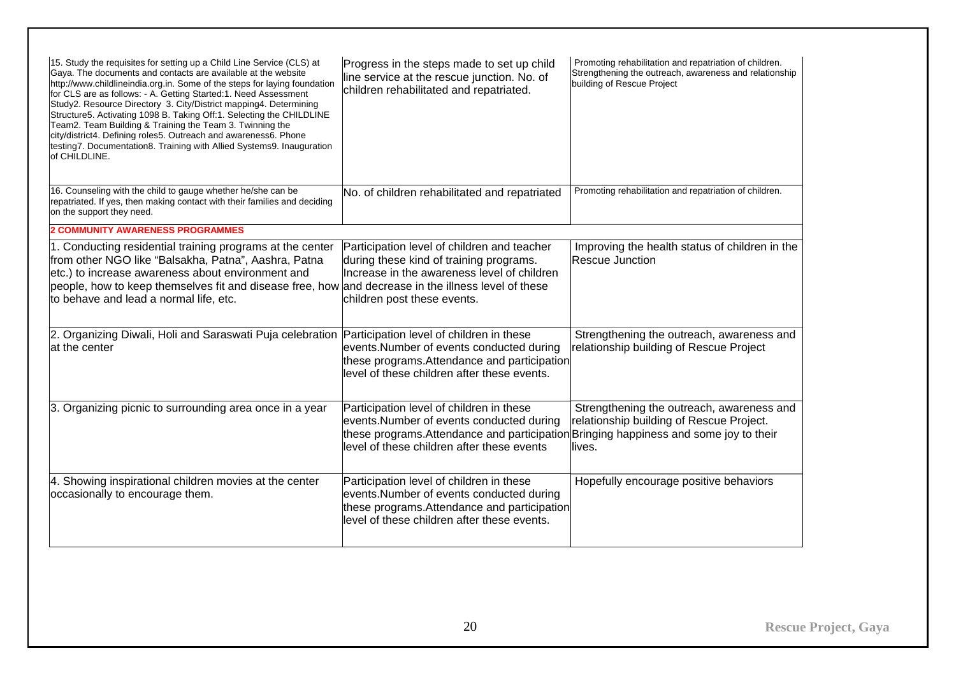| 15. Study the requisites for setting up a Child Line Service (CLS) at<br>Gaya. The documents and contacts are available at the website<br>http://www.childlineindia.org.in. Some of the steps for laying foundation<br>for CLS are as follows: - A. Getting Started:1. Need Assessment<br>Study2. Resource Directory 3. City/District mapping4. Determining<br>Structure5. Activating 1098 B. Taking Off:1. Selecting the CHILDLINE<br>Team2. Team Building & Training the Team 3. Twinning the<br>city/district4. Defining roles5. Outreach and awareness6. Phone<br>testing7. Documentation8. Training with Allied Systems9. Inauguration<br>of CHILDLINE. | Progress in the steps made to set up child<br>line service at the rescue junction. No. of<br>children rehabilitated and repatriated.                                                                                        | Promoting rehabilitation and repatriation of children.<br>Strengthening the outreach, awareness and relationship<br>building of Rescue Project |
|--------------------------------------------------------------------------------------------------------------------------------------------------------------------------------------------------------------------------------------------------------------------------------------------------------------------------------------------------------------------------------------------------------------------------------------------------------------------------------------------------------------------------------------------------------------------------------------------------------------------------------------------------------------|-----------------------------------------------------------------------------------------------------------------------------------------------------------------------------------------------------------------------------|------------------------------------------------------------------------------------------------------------------------------------------------|
| 16. Counseling with the child to gauge whether he/she can be<br>repatriated. If yes, then making contact with their families and deciding<br>on the support they need.                                                                                                                                                                                                                                                                                                                                                                                                                                                                                       | No. of children rehabilitated and repatriated                                                                                                                                                                               | Promoting rehabilitation and repatriation of children.                                                                                         |
| <b>2 COMMUNITY AWARENESS PROGRAMMES</b>                                                                                                                                                                                                                                                                                                                                                                                                                                                                                                                                                                                                                      |                                                                                                                                                                                                                             |                                                                                                                                                |
| 1. Conducting residential training programs at the center<br>from other NGO like "Balsakha, Patna", Aashra, Patna<br>etc.) to increase awareness about environment and<br>people, how to keep themselves fit and disease free, how and decrease in the illness level of these<br>to behave and lead a normal life, etc.                                                                                                                                                                                                                                                                                                                                      | Participation level of children and teacher<br>during these kind of training programs.<br>Increase in the awareness level of children<br>children post these events.                                                        | Improving the health status of children in the<br><b>Rescue Junction</b>                                                                       |
| 2. Organizing Diwali, Holi and Saraswati Puja celebration Participation level of children in these<br>at the center                                                                                                                                                                                                                                                                                                                                                                                                                                                                                                                                          | events.Number of events conducted during<br>these programs. Attendance and participation<br>level of these children after these events.                                                                                     | Strengthening the outreach, awareness and<br>relationship building of Rescue Project                                                           |
| 3. Organizing picnic to surrounding area once in a year                                                                                                                                                                                                                                                                                                                                                                                                                                                                                                                                                                                                      | Participation level of children in these<br>events.Number of events conducted during<br>these programs. Attendance and participation Bringing happiness and some joy to their<br>level of these children after these events | Strengthening the outreach, awareness and<br>relationship building of Rescue Project.<br>lives.                                                |
| 4. Showing inspirational children movies at the center<br>occasionally to encourage them.                                                                                                                                                                                                                                                                                                                                                                                                                                                                                                                                                                    | Participation level of children in these<br>events.Number of events conducted during<br>these programs. Attendance and participation<br>level of these children after these events.                                         | Hopefully encourage positive behaviors                                                                                                         |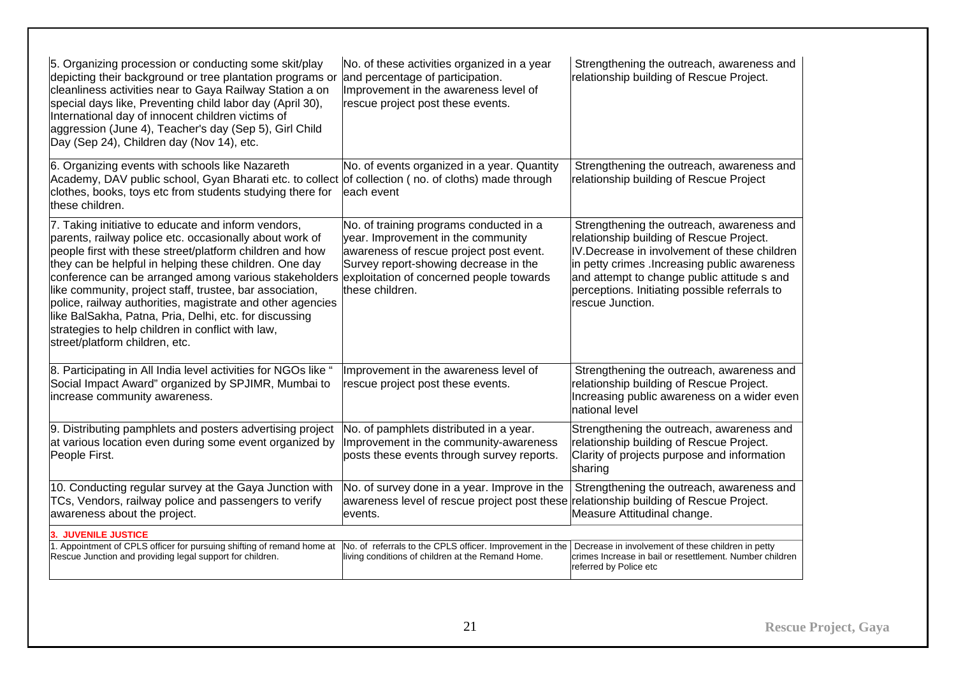| 5. Organizing procession or conducting some skit/play<br>depicting their background or tree plantation programs or<br>cleanliness activities near to Gaya Railway Station a on<br>special days like, Preventing child labor day (April 30),<br>International day of innocent children victims of<br>aggression (June 4), Teacher's day (Sep 5), Girl Child<br>Day (Sep 24), Children day (Nov 14), etc.                                                                                                                                                                                                           | No. of these activities organized in a year<br>and percentage of participation.<br>Improvement in the awareness level of<br>rescue project post these events.                        | Strengthening the outreach, awareness and<br>relationship building of Rescue Project.                                                                                                                                                                                                                      |
|-------------------------------------------------------------------------------------------------------------------------------------------------------------------------------------------------------------------------------------------------------------------------------------------------------------------------------------------------------------------------------------------------------------------------------------------------------------------------------------------------------------------------------------------------------------------------------------------------------------------|--------------------------------------------------------------------------------------------------------------------------------------------------------------------------------------|------------------------------------------------------------------------------------------------------------------------------------------------------------------------------------------------------------------------------------------------------------------------------------------------------------|
| 6. Organizing events with schools like Nazareth<br>Academy, DAV public school, Gyan Bharati etc. to collect of collection (no. of cloths) made through<br>clothes, books, toys etc from students studying there for<br>these children.                                                                                                                                                                                                                                                                                                                                                                            | No. of events organized in a year. Quantity<br>each event                                                                                                                            | Strengthening the outreach, awareness and<br>relationship building of Rescue Project                                                                                                                                                                                                                       |
| 7. Taking initiative to educate and inform vendors,<br>parents, railway police etc. occasionally about work of<br>people first with these street/platform children and how<br>they can be helpful in helping these children. One day<br>conference can be arranged among various stakeholders exploitation of concerned people towards<br>like community, project staff, trustee, bar association,<br>police, railway authorities, magistrate and other agencies<br>like BalSakha, Patna, Pria, Delhi, etc. for discussing<br>strategies to help children in conflict with law,<br>street/platform children, etc. | No. of training programs conducted in a<br>year. Improvement in the community<br>awareness of rescue project post event.<br>Survey report-showing decrease in the<br>these children. | Strengthening the outreach, awareness and<br>relationship building of Rescue Project.<br>IV.Decrease in involvement of these children<br>in petty crimes . Increasing public awareness<br>and attempt to change public attitude s and<br>perceptions. Initiating possible referrals to<br>rescue Junction. |
| 8. Participating in All India level activities for NGOs like "<br>Social Impact Award" organized by SPJIMR, Mumbai to<br>increase community awareness.                                                                                                                                                                                                                                                                                                                                                                                                                                                            | Improvement in the awareness level of<br>rescue project post these events.                                                                                                           | Strengthening the outreach, awareness and<br>relationship building of Rescue Project.<br>Increasing public awareness on a wider even<br>national level                                                                                                                                                     |
| 9. Distributing pamphlets and posters advertising project<br>at various location even during some event organized by<br>People First.                                                                                                                                                                                                                                                                                                                                                                                                                                                                             | No. of pamphlets distributed in a year.<br>Improvement in the community-awareness<br>posts these events through survey reports.                                                      | Strengthening the outreach, awareness and<br>relationship building of Rescue Project.<br>Clarity of projects purpose and information<br>sharing                                                                                                                                                            |
| 10. Conducting regular survey at the Gaya Junction with<br>TCs, Vendors, railway police and passengers to verify<br>awareness about the project.                                                                                                                                                                                                                                                                                                                                                                                                                                                                  | No. of survey done in a year. Improve in the<br>awareness level of rescue project post these<br>levents.                                                                             | Strengthening the outreach, awareness and<br>relationship building of Rescue Project.<br>Measure Attitudinal change.                                                                                                                                                                                       |
| <b>3. JUVENILE JUSTICE</b><br>1. Appointment of CPLS officer for pursuing shifting of remand home at<br>Rescue Junction and providing legal support for children.                                                                                                                                                                                                                                                                                                                                                                                                                                                 | No. of referrals to the CPLS officer. Improvement in the<br>living conditions of children at the Remand Home.                                                                        | Decrease in involvement of these children in petty<br>crimes Increase in bail or resettlement. Number children<br>referred by Police etc                                                                                                                                                                   |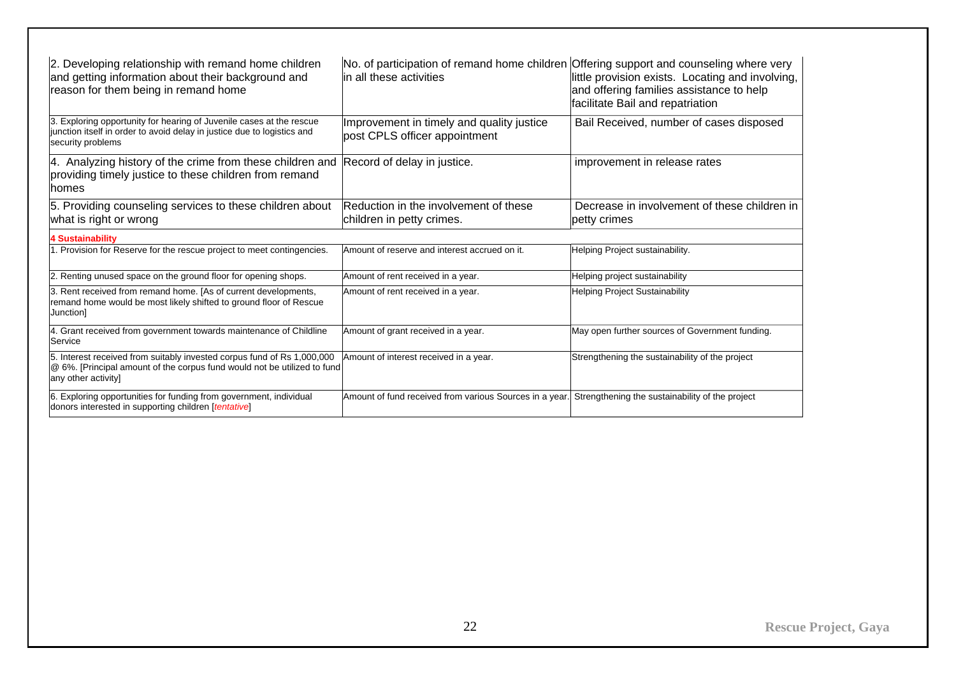| 2. Developing relationship with remand home children<br>and getting information about their background and<br>reason for them being in remand home                         | No. of participation of remand home children Offering support and counseling where very<br>lin all these activities | little provision exists. Locating and involving,<br>and offering families assistance to help<br>facilitate Bail and repatriation |
|----------------------------------------------------------------------------------------------------------------------------------------------------------------------------|---------------------------------------------------------------------------------------------------------------------|----------------------------------------------------------------------------------------------------------------------------------|
| 3. Exploring opportunity for hearing of Juvenile cases at the rescue<br>junction itself in order to avoid delay in justice due to logistics and<br>security problems       | Improvement in timely and quality justice<br>post CPLS officer appointment                                          | Bail Received, number of cases disposed                                                                                          |
| 4. Analyzing history of the crime from these children and<br>providing timely justice to these children from remand<br>lhomes                                              | Record of delay in justice.                                                                                         | improvement in release rates                                                                                                     |
| 5. Providing counseling services to these children about<br>what is right or wrong                                                                                         | Reduction in the involvement of these<br>children in petty crimes.                                                  | Decrease in involvement of these children in<br>petty crimes                                                                     |
| <b>4 Sustainability</b>                                                                                                                                                    |                                                                                                                     |                                                                                                                                  |
| 1. Provision for Reserve for the rescue project to meet contingencies.                                                                                                     | Amount of reserve and interest accrued on it.                                                                       | Helping Project sustainability.                                                                                                  |
| 2. Renting unused space on the ground floor for opening shops.                                                                                                             | Amount of rent received in a year.                                                                                  | Helping project sustainability                                                                                                   |
| 3. Rent received from remand home. [As of current developments,<br>remand home would be most likely shifted to ground floor of Rescue<br>Junction]                         | Amount of rent received in a year.                                                                                  | <b>Helping Project Sustainability</b>                                                                                            |
| 4. Grant received from government towards maintenance of Childline<br>Service                                                                                              | Amount of grant received in a year.                                                                                 | May open further sources of Government funding.                                                                                  |
| 5. Interest received from suitably invested corpus fund of Rs 1,000,000<br>@ 6%. [Principal amount of the corpus fund would not be utilized to fund<br>any other activity] | Amount of interest received in a year.                                                                              | Strengthening the sustainability of the project                                                                                  |
| 6. Exploring opportunities for funding from government, individual<br>donors interested in supporting children [tentative]                                                 | Amount of fund received from various Sources in a year. Strengthening the sustainability of the project             |                                                                                                                                  |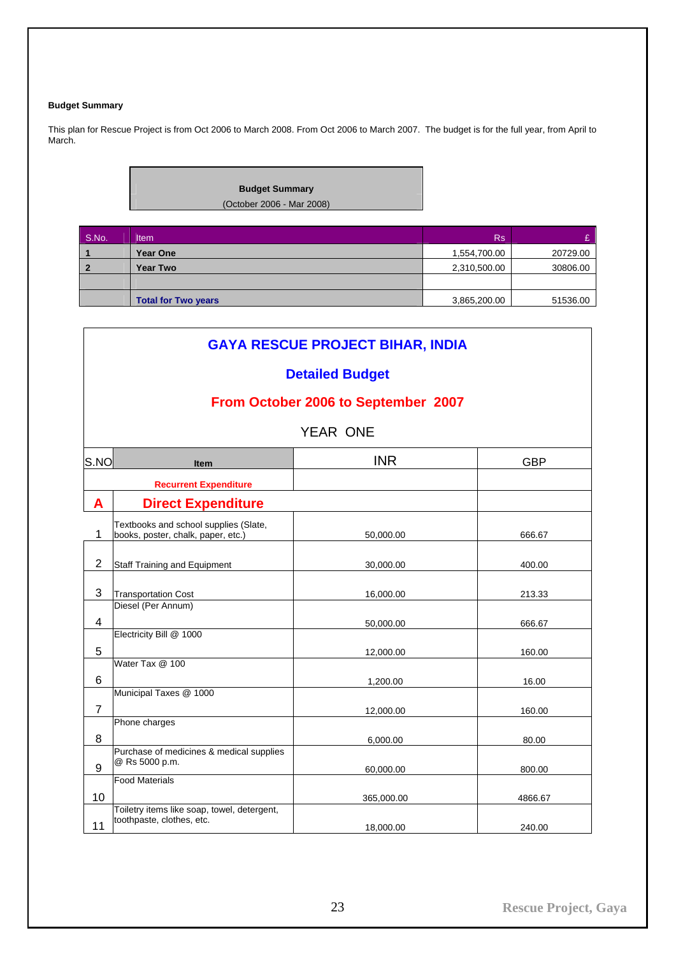# <span id="page-24-0"></span>**Budget Summary**

This plan for Rescue Project is from Oct 2006 to March 2008. From Oct 2006 to March 2007. The budget is for the full year, from April to March.



| S.No. | <b>Item</b>                | <b>Rs</b>    |          |
|-------|----------------------------|--------------|----------|
|       | <b>Year One</b>            | 1,554,700.00 | 20729.00 |
|       | <b>Year Two</b>            | 2,310,500.00 | 30806.00 |
|       |                            |              |          |
|       | <b>Total for Two years</b> | 3,865,200.00 | 51536.00 |

|                | <b>GAYA RESCUE PROJECT BIHAR, INDIA</b>                                     |                 |            |  |
|----------------|-----------------------------------------------------------------------------|-----------------|------------|--|
|                | <b>Detailed Budget</b>                                                      |                 |            |  |
|                | From October 2006 to September 2007                                         |                 |            |  |
|                |                                                                             | <b>YEAR ONE</b> |            |  |
| S.NO           | <b>Item</b>                                                                 | <b>INR</b>      | <b>GBP</b> |  |
|                | <b>Recurrent Expenditure</b>                                                |                 |            |  |
| A              | <b>Direct Expenditure</b>                                                   |                 |            |  |
| 1              | Textbooks and school supplies (Slate,<br>books, poster, chalk, paper, etc.) | 50,000.00       | 666.67     |  |
| $\overline{2}$ | Staff Training and Equipment                                                | 30,000.00       | 400.00     |  |
| 3              | <b>Transportation Cost</b>                                                  | 16,000.00       | 213.33     |  |
| 4              | Diesel (Per Annum)                                                          | 50,000.00       | 666.67     |  |
| 5              | Electricity Bill @ 1000                                                     | 12,000.00       | 160.00     |  |
| 6              | Water Tax @ 100                                                             | 1,200.00        | 16.00      |  |
| $\overline{7}$ | Municipal Taxes @ 1000                                                      | 12,000.00       | 160.00     |  |
| 8              | Phone charges                                                               | 6,000.00        | 80.00      |  |
| 9              | Purchase of medicines & medical supplies<br>@ Rs 5000 p.m.                  | 60,000.00       | 800.00     |  |
| 10             | <b>Food Materials</b>                                                       | 365,000.00      | 4866.67    |  |
| 11             | Toiletry items like soap, towel, detergent,<br>toothpaste, clothes, etc.    | 18,000.00       | 240.00     |  |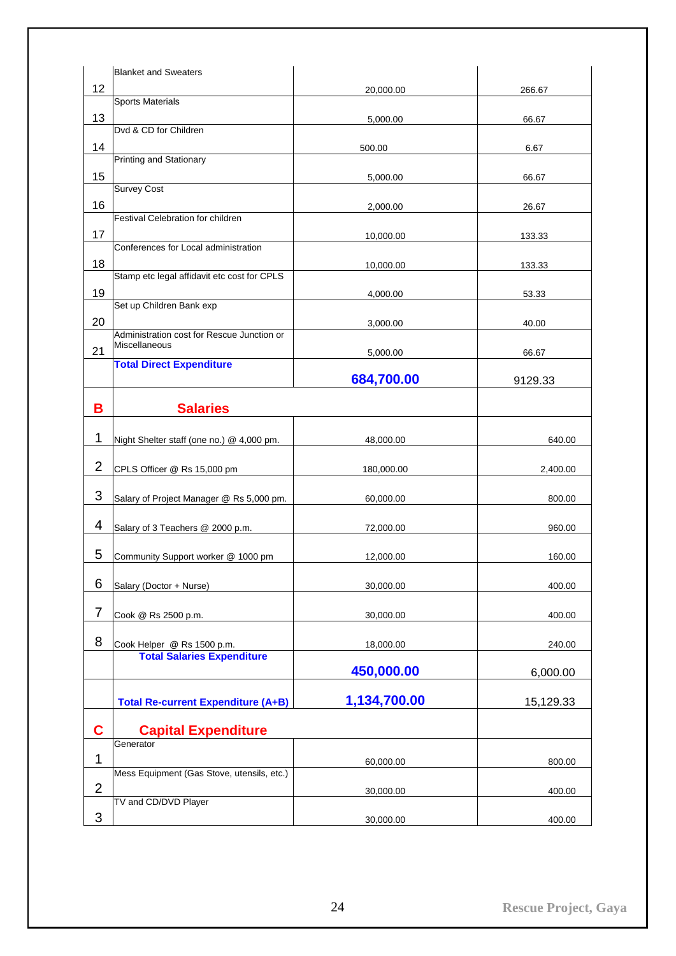|                | <b>Blanket and Sweaters</b>                                     |              |           |
|----------------|-----------------------------------------------------------------|--------------|-----------|
| 12             |                                                                 | 20,000.00    | 266.67    |
|                | <b>Sports Materials</b>                                         |              |           |
| 13             |                                                                 | 5,000.00     | 66.67     |
|                | Dvd & CD for Children                                           |              |           |
| 14             | Printing and Stationary                                         | 500.00       | 6.67      |
| 15             |                                                                 | 5,000.00     | 66.67     |
|                | <b>Survey Cost</b>                                              |              |           |
| 16             |                                                                 | 2,000.00     | 26.67     |
|                | Festival Celebration for children                               |              |           |
| 17             | Conferences for Local administration                            | 10,000.00    | 133.33    |
| 18             |                                                                 |              |           |
|                | Stamp etc legal affidavit etc cost for CPLS                     | 10,000.00    | 133.33    |
| 19             |                                                                 | 4,000.00     | 53.33     |
|                | Set up Children Bank exp                                        |              |           |
| 20             |                                                                 | 3,000.00     | 40.00     |
|                | Administration cost for Rescue Junction or<br>Miscellaneous     |              |           |
| 21             | <b>Total Direct Expenditure</b>                                 | 5,000.00     | 66.67     |
|                |                                                                 | 684,700.00   | 9129.33   |
|                |                                                                 |              |           |
| В              | <b>Salaries</b>                                                 |              |           |
|                |                                                                 |              |           |
| 1              | Night Shelter staff (one no.) @ 4,000 pm.                       | 48,000.00    | 640.00    |
| $\overline{2}$ | CPLS Officer @ Rs 15,000 pm                                     | 180,000.00   | 2,400.00  |
|                |                                                                 |              |           |
| 3              | Salary of Project Manager @ Rs 5,000 pm.                        | 60,000.00    | 800.00    |
|                |                                                                 |              |           |
| 4              | Salary of 3 Teachers @ 2000 p.m.                                | 72,000.00    | 960.00    |
| 5              |                                                                 |              |           |
|                | Community Support worker @ 1000 pm                              | 12,000.00    | 160.00    |
| 6              | Salary (Doctor + Nurse)                                         | 30,000.00    | 400.00    |
|                |                                                                 |              |           |
| $\overline{7}$ | Cook @ Rs 2500 p.m.                                             | 30,000.00    | 400.00    |
|                |                                                                 |              |           |
| 8              | Cook Helper @ Rs 1500 p.m.<br><b>Total Salaries Expenditure</b> | 18,000.00    | 240.00    |
|                |                                                                 | 450,000.00   | 6,000.00  |
|                |                                                                 |              |           |
|                | <b>Total Re-current Expenditure (A+B)</b>                       | 1,134,700.00 | 15,129.33 |
|                |                                                                 |              |           |
| C              | <b>Capital Expenditure</b><br>Generator                         |              |           |
| 1              |                                                                 |              |           |
|                | Mess Equipment (Gas Stove, utensils, etc.)                      | 60,000.00    | 800.00    |
| $\overline{2}$ |                                                                 | 30,000.00    | 400.00    |
|                | TV and CD/DVD Player                                            |              |           |
| 3              |                                                                 | 30,000.00    | 400.00    |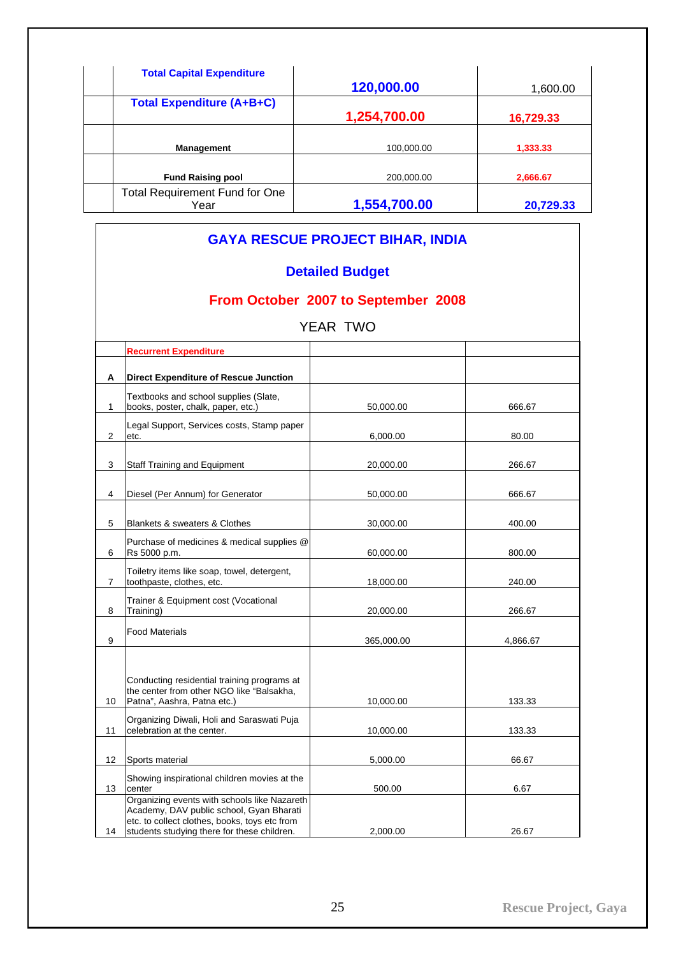| <b>Total Capital Expenditure</b>              | 120,000.00   | 1,600.00  |
|-----------------------------------------------|--------------|-----------|
| <b>Total Expenditure (A+B+C)</b>              | 1,254,700.00 | 16,729.33 |
| <b>Management</b>                             | 100,000.00   | 1,333.33  |
| <b>Fund Raising pool</b>                      | 200.000.00   | 2,666.67  |
| <b>Total Requirement Fund for One</b><br>Year | 1,554,700.00 | 20,729.33 |

# **GAYA RESCUE PROJECT BIHAR, INDIA Detailed Budget From October 2007 to September 2008**  YEAR TWO **Recurrent Expenditure A Direct Expenditure of Rescue Junction**  1 Textbooks and school supplies (Slate, books, poster, chalk, paper, etc.) 50,000.00 666.67 2 Legal Support, Services costs, Stamp paper etc. 6,000.00 80.00 3 Staff Training and Equipment 20,000.00 266.67 4 Diesel (Per Annum) for Generator 50,000.00 666.67 5 Blankets & sweaters & Clothes 30,000.00 400.00 6 Purchase of medicines & medical supplies @ Rs 5000 p.m. 60,000.00 800.00 7 Toiletry items like soap, towel, detergent, toothpaste, clothes, etc. 18,000.00 18,000.00 240.00 8 Trainer & Equipment cost (Vocational Training) 20,000.00 266.67 9 Food Materials 365,000.00 4,866.67 10 Conducting residential training programs at the center from other NGO like "Balsakha, Patna", Aashra, Patna etc.) 10,000.00 133.33 11 Organizing Diwali, Holi and Saraswati Puja celebration at the center. 10,000.00 133.33 12 Sports material 66.67 13 Showing inspirational children movies at the<br>center center 6.67 14 Organizing events with schools like Nazareth Academy, DAV public school, Gyan Bharati etc. to collect clothes, books, toys etc from students studying there for these children. <br>
2,000.00 26.67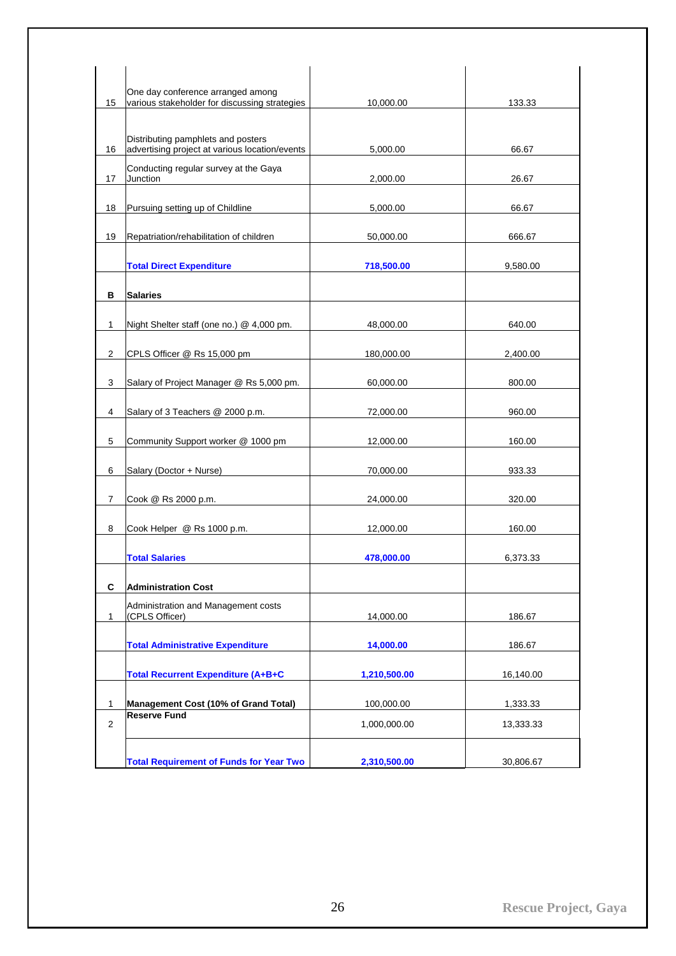|                | One day conference arranged among                                                    |              |           |
|----------------|--------------------------------------------------------------------------------------|--------------|-----------|
| 15             | various stakeholder for discussing strategies                                        | 10,000.00    | 133.33    |
| 16             | Distributing pamphlets and posters<br>advertising project at various location/events | 5,000.00     | 66.67     |
| 17             | Conducting regular survey at the Gaya<br>Junction                                    | 2,000.00     | 26.67     |
| 18             | Pursuing setting up of Childline                                                     | 5,000.00     | 66.67     |
| 19             | Repatriation/rehabilitation of children                                              | 50,000.00    | 666.67    |
|                | <b>Total Direct Expenditure</b>                                                      | 718,500.00   | 9,580.00  |
| в              | <b>Salaries</b>                                                                      |              |           |
| 1              | Night Shelter staff (one no.) @ 4,000 pm.                                            | 48,000.00    | 640.00    |
| 2              | CPLS Officer @ Rs 15,000 pm                                                          | 180,000.00   | 2,400.00  |
| 3              | Salary of Project Manager @ Rs 5,000 pm.                                             | 60,000.00    | 800.00    |
| 4              | Salary of 3 Teachers @ 2000 p.m.                                                     | 72,000.00    | 960.00    |
| 5              | Community Support worker @ 1000 pm                                                   | 12,000.00    | 160.00    |
| 6              | Salary (Doctor + Nurse)                                                              | 70,000.00    | 933.33    |
| $\overline{7}$ | Cook @ Rs 2000 p.m.                                                                  | 24,000.00    | 320.00    |
| 8              | Cook Helper @ Rs 1000 p.m.                                                           | 12,000.00    | 160.00    |
|                | <b>Total Salaries</b>                                                                | 478,000.00   | 6,373.33  |
| C              | <b>Administration Cost</b>                                                           |              |           |
| 1              | Administration and Management costs<br>(CPLS Officer)                                | 14,000.00    | 186.67    |
|                | <b>Total Administrative Expenditure</b>                                              | 14,000.00    | 186.67    |
|                | <b>Total Recurrent Expenditure (A+B+C</b>                                            | 1,210,500.00 | 16,140.00 |
| $\mathbf{1}$   | Management Cost (10% of Grand Total)                                                 | 100,000.00   | 1,333.33  |
| $\overline{2}$ | <b>Reserve Fund</b>                                                                  | 1,000,000.00 | 13,333.33 |
|                | <b>Total Requirement of Funds for Year Two</b>                                       | 2,310,500.00 | 30,806.67 |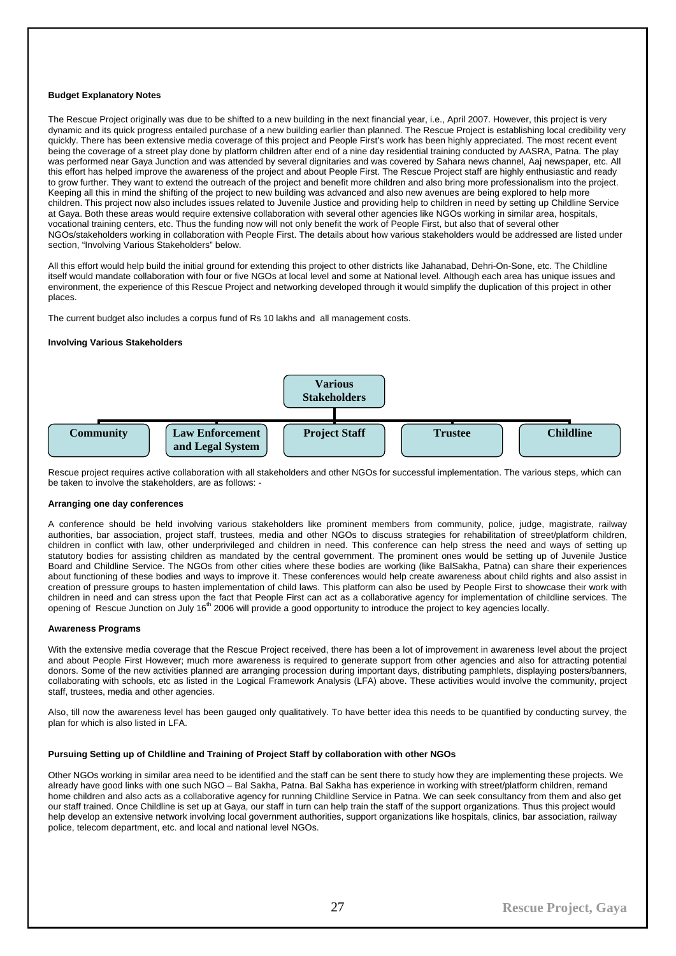# <span id="page-28-0"></span>**Budget Explanatory Notes**

The Rescue Project originally was due to be shifted to a new building in the next financial year, i.e., April 2007. However, this project is very dynamic and its quick progress entailed purchase of a new building earlier than planned. The Rescue Project is establishing local credibility very quickly. There has been extensive media coverage of this project and People First's work has been highly appreciated. The most recent event being the coverage of a street play done by platform children after end of a nine day residential training conducted by AASRA, Patna. The play was performed near Gaya Junction and was attended by several dignitaries and was covered by Sahara news channel, Aaj newspaper, etc. All this effort has helped improve the awareness of the project and about People First. The Rescue Project staff are highly enthusiastic and ready to grow further. They want to extend the outreach of the project and benefit more children and also bring more professionalism into the project. Keeping all this in mind the shifting of the project to new building was advanced and also new avenues are being explored to help more children. This project now also includes issues related to Juvenile Justice and providing help to children in need by setting up Childline Service at Gaya. Both these areas would require extensive collaboration with several other agencies like NGOs working in similar area, hospitals, vocational training centers, etc. Thus the funding now will not only benefit the work of People First, but also that of several other NGOs/stakeholders working in collaboration with People First. The details about how various stakeholders would be addressed are listed under section, "Involving Various Stakeholders" below.

All this effort would help build the initial ground for extending this project to other districts like Jahanabad, Dehri-On-Sone, etc. The Childline itself would mandate collaboration with four or five NGOs at local level and some at National level. Although each area has unique issues and environment, the experience of this Rescue Project and networking developed through it would simplify the duplication of this project in other places.

The current budget also includes a corpus fund of Rs 10 lakhs and all management costs.

## **Involving Various Stakeholders**



Rescue project requires active collaboration with all stakeholders and other NGOs for successful implementation. The various steps, which can be taken to involve the stakeholders, are as follows: -

# **Arranging one day conferences**

A conference should be held involving various stakeholders like prominent members from community, police, judge, magistrate, railway authorities, bar association, project staff, trustees, media and other NGOs to discuss strategies for rehabilitation of street/platform children, children in conflict with law, other underprivileged and children in need. This conference can help stress the need and ways of setting up statutory bodies for assisting children as mandated by the central government. The prominent ones would be setting up of Juvenile Justice Board and Childline Service. The NGOs from other cities where these bodies are working (like BalSakha, Patna) can share their experiences about functioning of these bodies and ways to improve it. These conferences would help create awareness about child rights and also assist in creation of pressure groups to hasten implementation of child laws. This platform can also be used by People First to showcase their work with children in need and can stress upon the fact that People First can act as a collaborative agency for implementation of childline services. The opening of Rescue Junction on July  $16^{th}$  2006 will provide a good opportunity to introduce the project to key agencies locally.

#### **Awareness Programs**

With the extensive media coverage that the Rescue Project received, there has been a lot of improvement in awareness level about the project and about People First However; much more awareness is required to generate support from other agencies and also for attracting potential donors. Some of the new activities planned are arranging procession during important days, distributing pamphlets, displaying posters/banners, collaborating with schools, etc as listed in the Logical Framework Analysis (LFA) above. These activities would involve the community, project staff, trustees, media and other agencies.

Also, till now the awareness level has been gauged only qualitatively. To have better idea this needs to be quantified by conducting survey, the plan for which is also listed in LFA.

#### **Pursuing Setting up of Childline and Training of Project Staff by collaboration with other NGOs**

Other NGOs working in similar area need to be identified and the staff can be sent there to study how they are implementing these projects. We already have good links with one such NGO – Bal Sakha, Patna. Bal Sakha has experience in working with street/platform children, remand home children and also acts as a collaborative agency for running Childline Service in Patna. We can seek consultancy from them and also get our staff trained. Once Childline is set up at Gaya, our staff in turn can help train the staff of the support organizations. Thus this project would help develop an extensive network involving local government authorities, support organizations like hospitals, clinics, bar association, railway police, telecom department, etc. and local and national level NGOs.